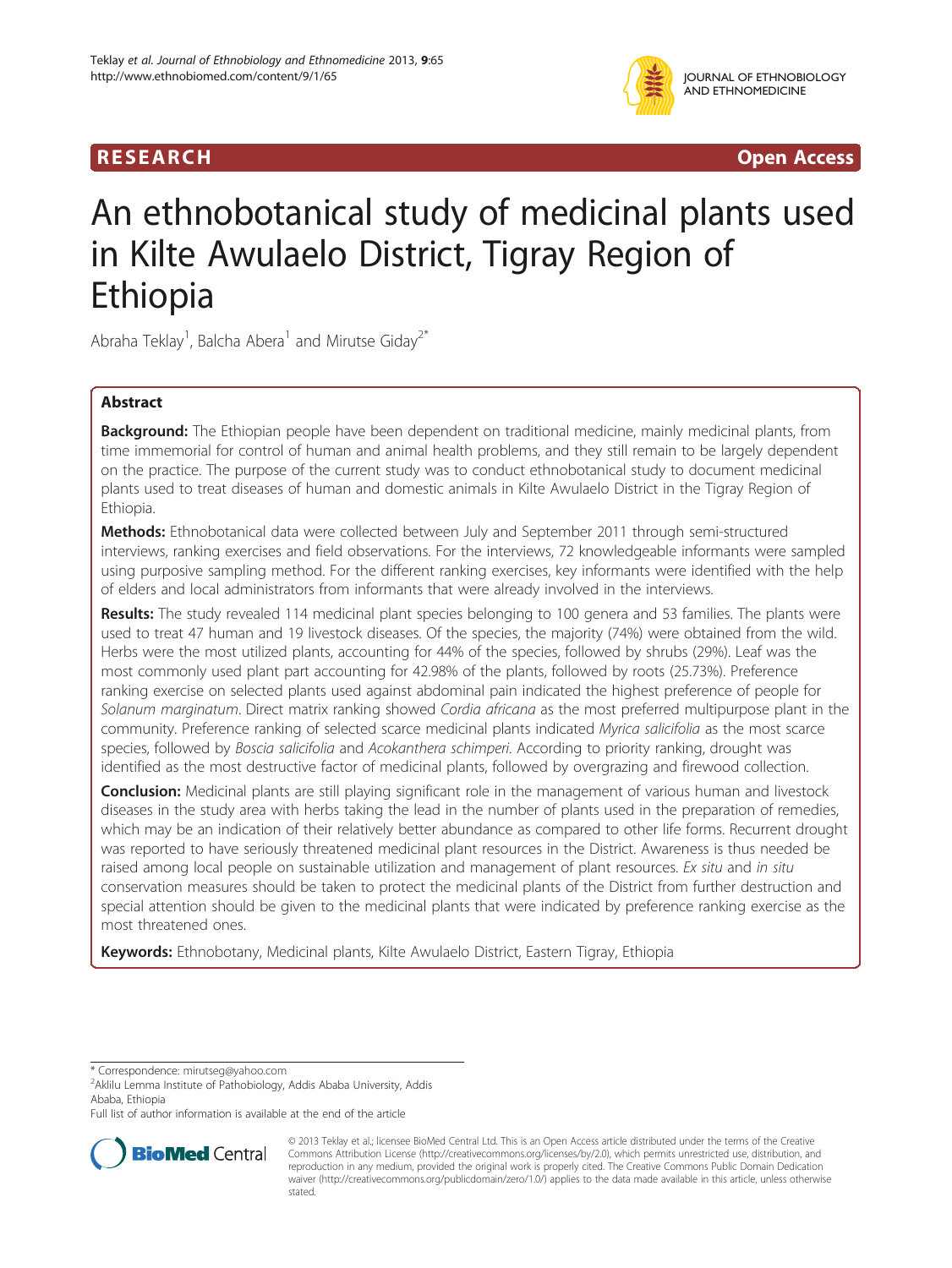# R E S EAR CH Open Access

# An ethnobotanical study of medicinal plants used in Kilte Awulaelo District, Tigray Region of Ethiopia

Abraha Teklay<sup>1</sup>, Balcha Abera<sup>1</sup> and Mirutse Giday<sup>2\*</sup>

# Abstract

Background: The Ethiopian people have been dependent on traditional medicine, mainly medicinal plants, from time immemorial for control of human and animal health problems, and they still remain to be largely dependent on the practice. The purpose of the current study was to conduct ethnobotanical study to document medicinal plants used to treat diseases of human and domestic animals in Kilte Awulaelo District in the Tigray Region of Ethiopia.

Methods: Ethnobotanical data were collected between July and September 2011 through semi-structured interviews, ranking exercises and field observations. For the interviews, 72 knowledgeable informants were sampled using purposive sampling method. For the different ranking exercises, key informants were identified with the help of elders and local administrators from informants that were already involved in the interviews.

Results: The study revealed 114 medicinal plant species belonging to 100 genera and 53 families. The plants were used to treat 47 human and 19 livestock diseases. Of the species, the majority (74%) were obtained from the wild. Herbs were the most utilized plants, accounting for 44% of the species, followed by shrubs (29%). Leaf was the most commonly used plant part accounting for 42.98% of the plants, followed by roots (25.73%). Preference ranking exercise on selected plants used against abdominal pain indicated the highest preference of people for Solanum marginatum. Direct matrix ranking showed Cordia africana as the most preferred multipurpose plant in the community. Preference ranking of selected scarce medicinal plants indicated Myrica salicifolia as the most scarce species, followed by Boscia salicifolia and Acokanthera schimperi. According to priority ranking, drought was identified as the most destructive factor of medicinal plants, followed by overgrazing and firewood collection.

Conclusion: Medicinal plants are still playing significant role in the management of various human and livestock diseases in the study area with herbs taking the lead in the number of plants used in the preparation of remedies, which may be an indication of their relatively better abundance as compared to other life forms. Recurrent drought was reported to have seriously threatened medicinal plant resources in the District. Awareness is thus needed be raised among local people on sustainable utilization and management of plant resources. Ex situ and in situ conservation measures should be taken to protect the medicinal plants of the District from further destruction and special attention should be given to the medicinal plants that were indicated by preference ranking exercise as the most threatened ones.

Keywords: Ethnobotany, Medicinal plants, Kilte Awulaelo District, Eastern Tigray, Ethiopia

\* Correspondence: [mirutseg@yahoo.com](mailto:mirutseg@yahoo.com) <sup>2</sup>

Full list of author information is available at the end of the article



<sup>© 2013</sup> Teklay et al.; licensee BioMed Central Ltd. This is an Open Access article distributed under the terms of the Creative Commons Attribution License [\(http://creativecommons.org/licenses/by/2.0\)](http://creativecommons.org/licenses/by/2.0), which permits unrestricted use, distribution, and reproduction in any medium, provided the original work is properly cited. The Creative Commons Public Domain Dedication waiver [\(http://creativecommons.org/publicdomain/zero/1.0/\)](http://creativecommons.org/publicdomain/zero/1.0/) applies to the data made available in this article, unless otherwise stated.

<sup>&</sup>lt;sup>2</sup> Aklilu Lemma Institute of Pathobiology, Addis Ababa University, Addis Ababa, Ethiopia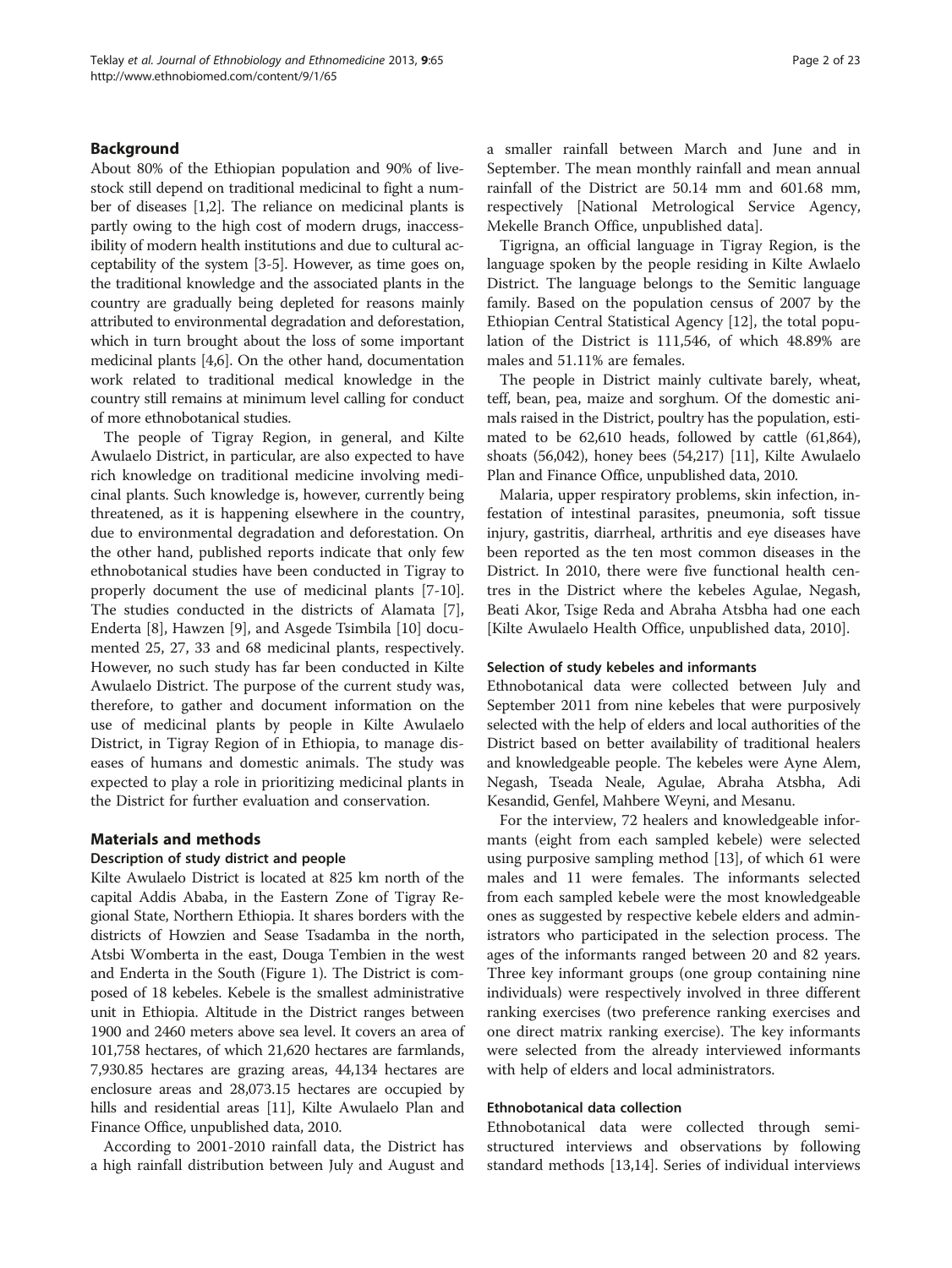#### Background

About 80% of the Ethiopian population and 90% of livestock still depend on traditional medicinal to fight a number of diseases [[1,2\]](#page-22-0). The reliance on medicinal plants is partly owing to the high cost of modern drugs, inaccessibility of modern health institutions and due to cultural acceptability of the system [[3-5\]](#page-22-0). However, as time goes on, the traditional knowledge and the associated plants in the country are gradually being depleted for reasons mainly attributed to environmental degradation and deforestation, which in turn brought about the loss of some important medicinal plants [[4,6](#page-22-0)]. On the other hand, documentation work related to traditional medical knowledge in the country still remains at minimum level calling for conduct of more ethnobotanical studies.

The people of Tigray Region, in general, and Kilte Awulaelo District, in particular, are also expected to have rich knowledge on traditional medicine involving medicinal plants. Such knowledge is, however, currently being threatened, as it is happening elsewhere in the country, due to environmental degradation and deforestation. On the other hand, published reports indicate that only few ethnobotanical studies have been conducted in Tigray to properly document the use of medicinal plants [[7-10](#page-22-0)]. The studies conducted in the districts of Alamata [\[7](#page-22-0)], Enderta [[8\]](#page-22-0), Hawzen [[9\]](#page-22-0), and Asgede Tsimbila [[10\]](#page-22-0) documented 25, 27, 33 and 68 medicinal plants, respectively. However, no such study has far been conducted in Kilte Awulaelo District. The purpose of the current study was, therefore, to gather and document information on the use of medicinal plants by people in Kilte Awulaelo District, in Tigray Region of in Ethiopia, to manage diseases of humans and domestic animals. The study was expected to play a role in prioritizing medicinal plants in the District for further evaluation and conservation.

#### Materials and methods

#### Description of study district and people

Kilte Awulaelo District is located at 825 km north of the capital Addis Ababa, in the Eastern Zone of Tigray Regional State, Northern Ethiopia. It shares borders with the districts of Howzien and Sease Tsadamba in the north, Atsbi Womberta in the east, Douga Tembien in the west and Enderta in the South (Figure [1](#page-2-0)). The District is composed of 18 kebeles. Kebele is the smallest administrative unit in Ethiopia. Altitude in the District ranges between 1900 and 2460 meters above sea level. It covers an area of 101,758 hectares, of which 21,620 hectares are farmlands, 7,930.85 hectares are grazing areas, 44,134 hectares are enclosure areas and 28,073.15 hectares are occupied by hills and residential areas [[11](#page-22-0)], Kilte Awulaelo Plan and Finance Office, unpublished data, 2010.

According to 2001-2010 rainfall data, the District has a high rainfall distribution between July and August and a smaller rainfall between March and June and in September. The mean monthly rainfall and mean annual rainfall of the District are 50.14 mm and 601.68 mm, respectively [National Metrological Service Agency, Mekelle Branch Office, unpublished data].

Tigrigna, an official language in Tigray Region, is the language spoken by the people residing in Kilte Awlaelo District. The language belongs to the Semitic language family. Based on the population census of 2007 by the Ethiopian Central Statistical Agency [[12\]](#page-22-0), the total population of the District is 111,546, of which 48.89% are males and 51.11% are females.

The people in District mainly cultivate barely, wheat, teff, bean, pea, maize and sorghum. Of the domestic animals raised in the District, poultry has the population, estimated to be 62,610 heads, followed by cattle (61,864), shoats (56,042), honey bees (54,217) [\[11\]](#page-22-0), Kilte Awulaelo Plan and Finance Office, unpublished data, 2010.

Malaria, upper respiratory problems, skin infection, infestation of intestinal parasites, pneumonia, soft tissue injury, gastritis, diarrheal, arthritis and eye diseases have been reported as the ten most common diseases in the District. In 2010, there were five functional health centres in the District where the kebeles Agulae, Negash, Beati Akor, Tsige Reda and Abraha Atsbha had one each [Kilte Awulaelo Health Office, unpublished data, 2010].

#### Selection of study kebeles and informants

Ethnobotanical data were collected between July and September 2011 from nine kebeles that were purposively selected with the help of elders and local authorities of the District based on better availability of traditional healers and knowledgeable people. The kebeles were Ayne Alem, Negash, Tseada Neale, Agulae, Abraha Atsbha, Adi Kesandid, Genfel, Mahbere Weyni, and Mesanu.

For the interview, 72 healers and knowledgeable informants (eight from each sampled kebele) were selected using purposive sampling method [[13\]](#page-22-0), of which 61 were males and 11 were females. The informants selected from each sampled kebele were the most knowledgeable ones as suggested by respective kebele elders and administrators who participated in the selection process. The ages of the informants ranged between 20 and 82 years. Three key informant groups (one group containing nine individuals) were respectively involved in three different ranking exercises (two preference ranking exercises and one direct matrix ranking exercise). The key informants were selected from the already interviewed informants with help of elders and local administrators.

#### Ethnobotanical data collection

Ethnobotanical data were collected through semistructured interviews and observations by following standard methods [[13,14\]](#page-22-0). Series of individual interviews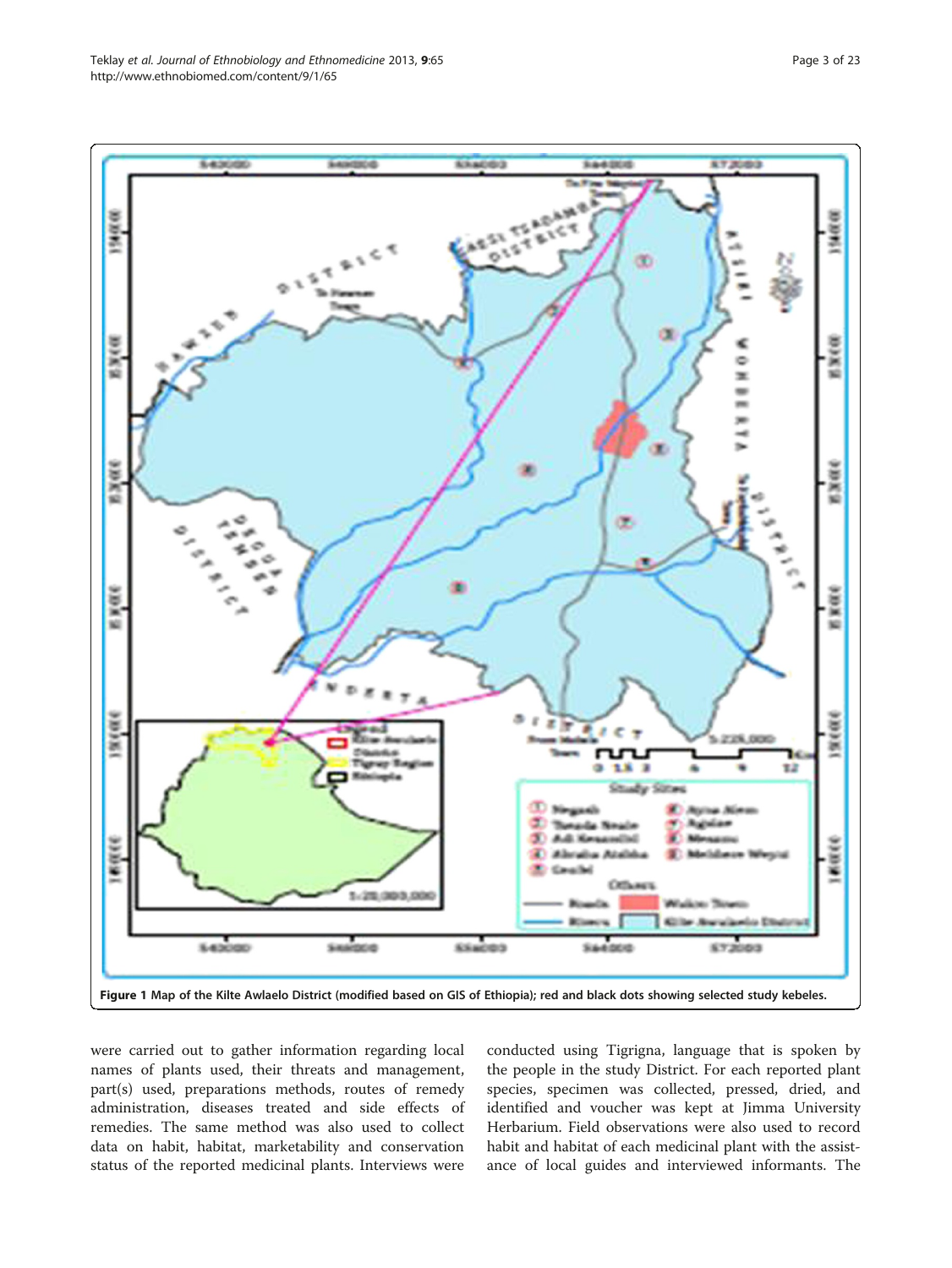<span id="page-2-0"></span>

were carried out to gather information regarding local names of plants used, their threats and management, part(s) used, preparations methods, routes of remedy administration, diseases treated and side effects of remedies. The same method was also used to collect data on habit, habitat, marketability and conservation status of the reported medicinal plants. Interviews were

conducted using Tigrigna, language that is spoken by the people in the study District. For each reported plant species, specimen was collected, pressed, dried, and identified and voucher was kept at Jimma University Herbarium. Field observations were also used to record habit and habitat of each medicinal plant with the assistance of local guides and interviewed informants. The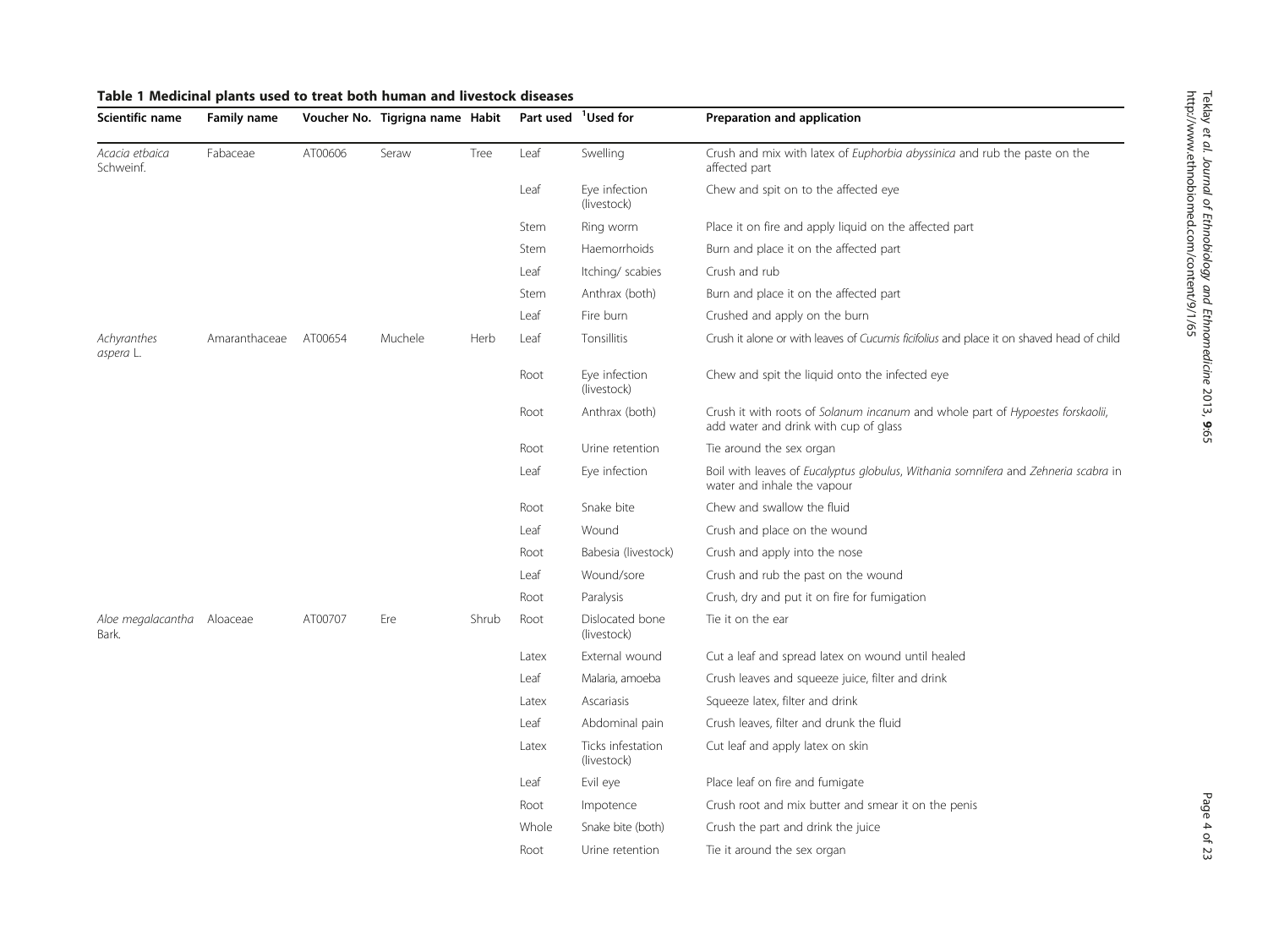<span id="page-3-0"></span>

| Scientific name                     | <b>Family name</b> |         | Voucher No. Tigrigna name Habit |       | Part used <sup>1</sup> Used for |                                  | Preparation and application                                                                                             |
|-------------------------------------|--------------------|---------|---------------------------------|-------|---------------------------------|----------------------------------|-------------------------------------------------------------------------------------------------------------------------|
| Acacia etbaica<br>Schweinf.         | Fabaceae           | AT00606 | Seraw                           | Tree  | Leaf                            | Swelling                         | Crush and mix with latex of <i>Euphorbia abyssinica</i> and rub the paste on the<br>affected part                       |
|                                     |                    |         |                                 |       | Leaf                            | Eye infection<br>(livestock)     | Chew and spit on to the affected eye                                                                                    |
|                                     |                    |         |                                 |       | Stem                            | Ring worm                        | Place it on fire and apply liquid on the affected part                                                                  |
|                                     |                    |         |                                 |       | Stem                            | Haemorrhoids                     | Burn and place it on the affected part                                                                                  |
|                                     |                    |         |                                 |       | Leaf                            | Itching/ scabies                 | Crush and rub                                                                                                           |
|                                     |                    |         |                                 |       | Stem                            | Anthrax (both)                   | Burn and place it on the affected part                                                                                  |
|                                     |                    |         |                                 |       | Leaf                            | Fire burn                        | Crushed and apply on the burn                                                                                           |
| Achyranthes<br>aspera L.            | Amaranthaceae      | AT00654 | Muchele                         | Herb  | Leaf                            | Tonsillitis                      | Crush it alone or with leaves of Cucumis ficifolius and place it on shaved head of child                                |
|                                     |                    |         |                                 |       | Root                            | Eye infection<br>(livestock)     | Chew and spit the liquid onto the infected eye                                                                          |
|                                     |                    |         |                                 |       | Root                            | Anthrax (both)                   | Crush it with roots of Solanum incanum and whole part of Hypoestes forskaolii,<br>add water and drink with cup of glass |
|                                     |                    |         |                                 |       | Root                            | Urine retention                  | Tie around the sex organ                                                                                                |
|                                     |                    |         |                                 |       | Leaf                            | Eye infection                    | Boil with leaves of Eucalyptus globulus, Withania somnifera and Zehneria scabra in<br>water and inhale the vapour       |
|                                     |                    |         |                                 |       | Root                            | Snake bite                       | Chew and swallow the fluid                                                                                              |
|                                     |                    |         |                                 |       | Leaf                            | Wound                            | Crush and place on the wound                                                                                            |
|                                     |                    |         |                                 |       | Root                            | Babesia (livestock)              | Crush and apply into the nose                                                                                           |
|                                     |                    |         |                                 |       | Leaf                            | Wound/sore                       | Crush and rub the past on the wound                                                                                     |
|                                     |                    |         |                                 |       | Root                            | Paralysis                        | Crush, dry and put it on fire for fumigation                                                                            |
| Aloe megalacantha Aloaceae<br>Bark. |                    | AT00707 | Ere                             | Shrub | Root                            | Dislocated bone<br>(livestock)   | Tie it on the ear                                                                                                       |
|                                     |                    |         |                                 |       | Latex                           | External wound                   | Cut a leaf and spread latex on wound until healed                                                                       |
|                                     |                    |         |                                 |       | Leaf                            | Malaria, amoeba                  | Crush leaves and squeeze juice, filter and drink                                                                        |
|                                     |                    |         |                                 |       | Latex                           | Ascariasis                       | Squeeze latex, filter and drink                                                                                         |
|                                     |                    |         |                                 |       | Leaf                            | Abdominal pain                   | Crush leaves, filter and drunk the fluid                                                                                |
|                                     |                    |         |                                 |       | Latex                           | Ticks infestation<br>(livestock) | Cut leaf and apply latex on skin                                                                                        |
|                                     |                    |         |                                 |       | Leaf                            | Evil eye                         | Place leaf on fire and fumigate                                                                                         |
|                                     |                    |         |                                 |       | Root                            | Impotence                        | Crush root and mix butter and smear it on the penis                                                                     |
|                                     |                    |         |                                 |       | Whole                           | Snake bite (both)                | Crush the part and drink the juice                                                                                      |
|                                     |                    |         |                                 |       | Root                            | Urine retention                  | Tie it around the sex organ                                                                                             |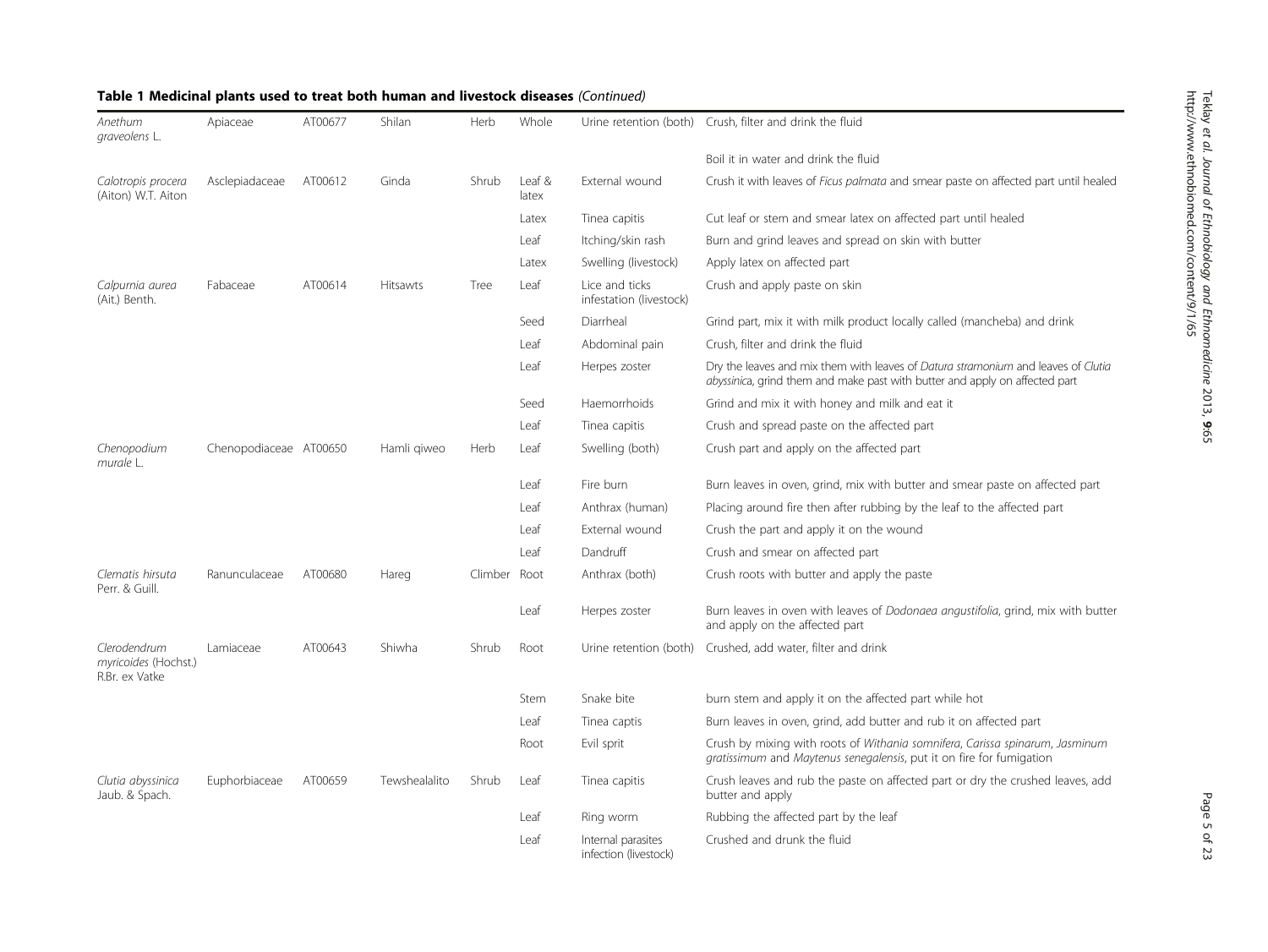| Anethum<br>graveolens L.                               | Apiaceae               | AT00677 | Shilan        | Herb    | Whole           | Urine retention (both)                      | Crush, filter and drink the fluid                                                                                                                                |
|--------------------------------------------------------|------------------------|---------|---------------|---------|-----------------|---------------------------------------------|------------------------------------------------------------------------------------------------------------------------------------------------------------------|
|                                                        |                        |         |               |         |                 |                                             | Boil it in water and drink the fluid                                                                                                                             |
| Calotropis procera<br>(Aiton) W.T. Aiton               | Asclepiadaceae         | AT00612 | Ginda         | Shrub   | Leaf &<br>latex | External wound                              | Crush it with leaves of Ficus palmata and smear paste on affected part until healed                                                                              |
|                                                        |                        |         |               |         | Latex           | Tinea capitis                               | Cut leaf or stem and smear latex on affected part until healed                                                                                                   |
|                                                        |                        |         |               |         | Leaf            | Itching/skin rash                           | Burn and grind leaves and spread on skin with butter                                                                                                             |
|                                                        |                        |         |               |         | Latex           | Swelling (livestock)                        | Apply latex on affected part                                                                                                                                     |
| Calpurnia aurea<br>(Ait.) Benth.                       | Fabaceae               | AT00614 | Hitsawts      | Tree    | Leaf            | Lice and ticks<br>infestation (livestock)   | Crush and apply paste on skin                                                                                                                                    |
|                                                        |                        |         |               |         | Seed            | Diarrheal                                   | Grind part, mix it with milk product locally called (mancheba) and drink                                                                                         |
|                                                        |                        |         |               |         | Leaf            | Abdominal pain                              | Crush, filter and drink the fluid                                                                                                                                |
|                                                        |                        |         |               |         | Leaf            | Herpes zoster                               | Dry the leaves and mix them with leaves of Datura stramonium and leaves of Clutia<br>abyssinica, grind them and make past with butter and apply on affected part |
|                                                        |                        |         |               |         | Seed            | Haemorrhoids                                | Grind and mix it with honey and milk and eat it                                                                                                                  |
|                                                        |                        |         |               |         | Leaf            | Tinea capitis                               | Crush and spread paste on the affected part                                                                                                                      |
| Chenopodium<br>murale L.                               | Chenopodiaceae AT00650 |         | Hamli giweo   | Herb    | Leaf            | Swelling (both)                             | Crush part and apply on the affected part                                                                                                                        |
|                                                        |                        |         |               |         | Leaf            | Fire burn                                   | Burn leaves in oven, grind, mix with butter and smear paste on affected part                                                                                     |
|                                                        |                        |         |               |         | Leaf            | Anthrax (human)                             | Placing around fire then after rubbing by the leaf to the affected part                                                                                          |
|                                                        |                        |         |               |         | Leaf            | External wound                              | Crush the part and apply it on the wound                                                                                                                         |
|                                                        |                        |         |               |         | Leaf            | Dandruff                                    | Crush and smear on affected part                                                                                                                                 |
| Clematis hirsuta<br>Perr. & Guill.                     | Ranunculaceae          | AT00680 | Hareg         | Climber | Root            | Anthrax (both)                              | Crush roots with butter and apply the paste                                                                                                                      |
|                                                        |                        |         |               |         | Leaf            | Herpes zoster                               | Burn leaves in oven with leaves of Dodonaea angustifolia, grind, mix with butter<br>and apply on the affected part                                               |
| Clerodendrum<br>myricoides (Hochst.)<br>R.Br. ex Vatke | Lamiaceae              | AT00643 | Shiwha        | Shrub   | Root            | Urine retention (both)                      | Crushed, add water, filter and drink                                                                                                                             |
|                                                        |                        |         |               |         | Stem            | Snake bite                                  | burn stem and apply it on the affected part while hot                                                                                                            |
|                                                        |                        |         |               |         | Leaf            | Tinea captis                                | Burn leaves in oven, grind, add butter and rub it on affected part                                                                                               |
|                                                        |                        |         |               |         | Root            | Evil sprit                                  | Crush by mixing with roots of Withania somnifera, Carissa spinarum, Jasminum<br>gratissimum and Maytenus senegalensis, put it on fire for fumigation             |
| Clutia abyssinica<br>Jaub. & Spach.                    | Euphorbiaceae          | AT00659 | Tewshealalito | Shrub   | Leaf            | Tinea capitis                               | Crush leaves and rub the paste on affected part or dry the crushed leaves, add<br>butter and apply                                                               |
|                                                        |                        |         |               |         | Leaf            | Ring worm                                   | Rubbing the affected part by the leaf                                                                                                                            |
|                                                        |                        |         |               |         | Leaf            | Internal parasites<br>infection (livestock) | Crushed and drunk the fluid                                                                                                                                      |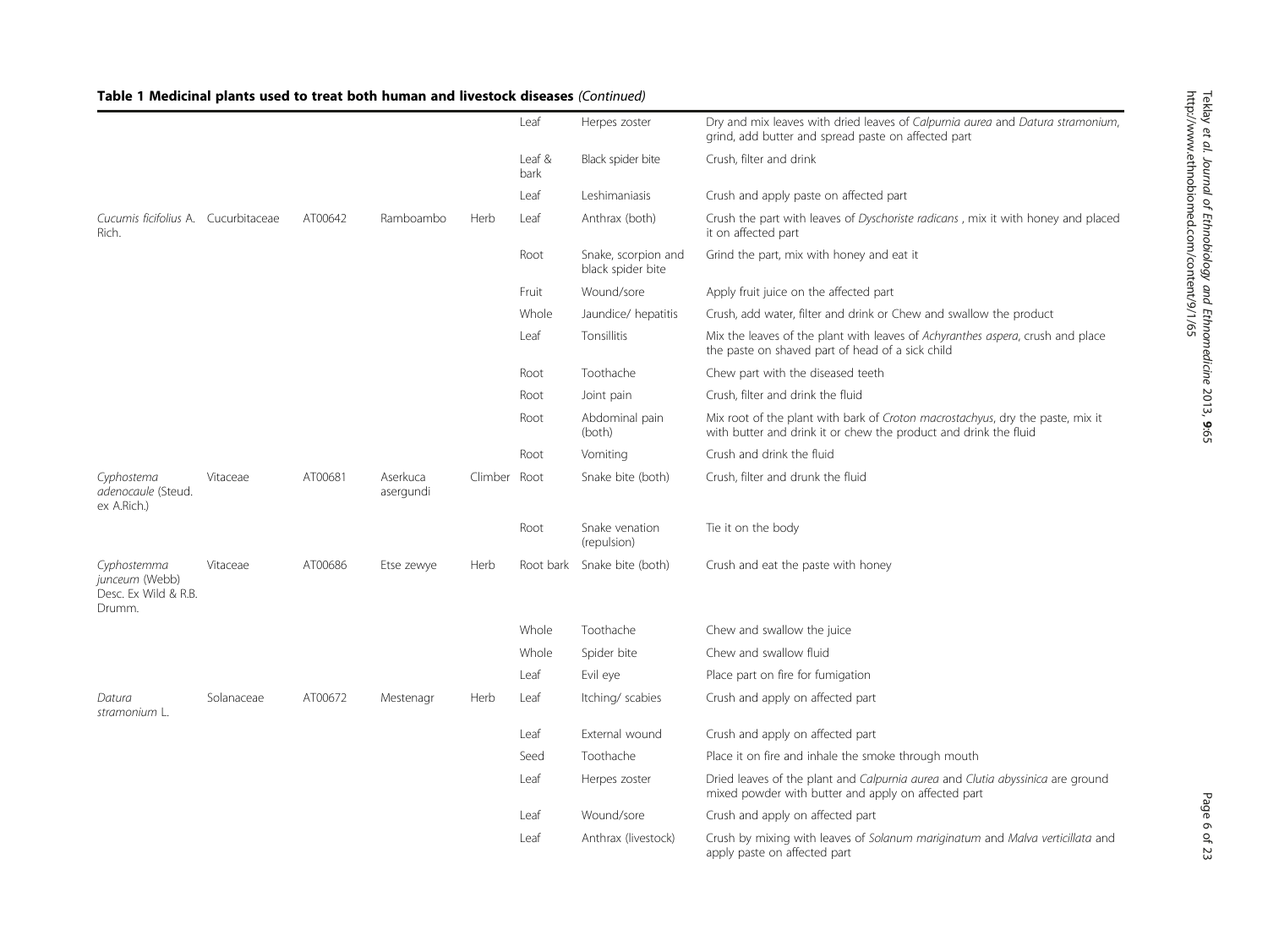|                                                                 |            |         |                       |              | Leaf           | Herpes zoster                            | Dry and mix leaves with dried leaves of Calpurnia aurea and Datura stramonium,<br>grind, add butter and spread paste on affected part              |
|-----------------------------------------------------------------|------------|---------|-----------------------|--------------|----------------|------------------------------------------|----------------------------------------------------------------------------------------------------------------------------------------------------|
|                                                                 |            |         |                       |              | Leaf &<br>bark | Black spider bite                        | Crush, filter and drink                                                                                                                            |
|                                                                 |            |         |                       |              | Leaf           | Leshimaniasis                            | Crush and apply paste on affected part                                                                                                             |
| Cucumis ficifolius A. Cucurbitaceae<br>Rich.                    |            | AT00642 | Ramboambo             | Herb         | Leaf           | Anthrax (both)                           | Crush the part with leaves of Dyschoriste radicans, mix it with honey and placed<br>it on affected part                                            |
|                                                                 |            |         |                       |              | Root           | Snake, scorpion and<br>black spider bite | Grind the part, mix with honey and eat it                                                                                                          |
|                                                                 |            |         |                       |              | Fruit          | Wound/sore                               | Apply fruit juice on the affected part                                                                                                             |
|                                                                 |            |         |                       |              | Whole          | Jaundice/ hepatitis                      | Crush, add water, filter and drink or Chew and swallow the product                                                                                 |
|                                                                 |            |         |                       |              | Leaf           | Tonsillitis                              | Mix the leaves of the plant with leaves of Achyranthes aspera, crush and place<br>the paste on shaved part of head of a sick child                 |
|                                                                 |            |         |                       |              | Root           | Toothache                                | Chew part with the diseased teeth                                                                                                                  |
|                                                                 |            |         |                       |              | Root           | Joint pain                               | Crush, filter and drink the fluid                                                                                                                  |
|                                                                 |            |         |                       |              | Root           | Abdominal pain<br>(both)                 | Mix root of the plant with bark of Croton macrostachyus, dry the paste, mix it<br>with butter and drink it or chew the product and drink the fluid |
|                                                                 |            |         |                       |              | Root           | Vomiting                                 | Crush and drink the fluid                                                                                                                          |
| Cyphostema<br>adenocaule (Steud.<br>ex A.Rich.)                 | Vitaceae   | AT00681 | Aserkuca<br>asergundi | Climber Root |                | Snake bite (both)                        | Crush, filter and drunk the fluid                                                                                                                  |
|                                                                 |            |         |                       |              | Root           | Snake venation<br>(repulsion)            | Tie it on the body                                                                                                                                 |
| Cyphostemma<br>junceum (Webb)<br>Desc. Ex Wild & R.B.<br>Drumm. | Vitaceae   | AT00686 | Etse zewye            | Herb         | Root bark      | Snake bite (both)                        | Crush and eat the paste with honey                                                                                                                 |
|                                                                 |            |         |                       |              | Whole          | Toothache                                | Chew and swallow the juice                                                                                                                         |
|                                                                 |            |         |                       |              | Whole          | Spider bite                              | Chew and swallow fluid                                                                                                                             |
|                                                                 |            |         |                       |              | Leaf           | Evil eye                                 | Place part on fire for fumigation                                                                                                                  |
| Datura<br>stramonium L.                                         | Solanaceae | AT00672 | Mestenagr             | Herb         | Leaf           | Itching/ scabies                         | Crush and apply on affected part                                                                                                                   |
|                                                                 |            |         |                       |              | Leaf           | External wound                           | Crush and apply on affected part                                                                                                                   |
|                                                                 |            |         |                       |              | Seed           | Toothache                                | Place it on fire and inhale the smoke through mouth                                                                                                |
|                                                                 |            |         |                       |              | Leaf           | Herpes zoster                            | Dried leaves of the plant and Calpurnia aurea and Clutia abyssinica are ground<br>mixed powder with butter and apply on affected part              |
|                                                                 |            |         |                       |              | Leaf           | Wound/sore                               | Crush and apply on affected part                                                                                                                   |
|                                                                 |            |         |                       |              | Leaf           | Anthrax (livestock)                      | Crush by mixing with leaves of Solanum mariginatum and Malva verticillata and<br>apply paste on affected part                                      |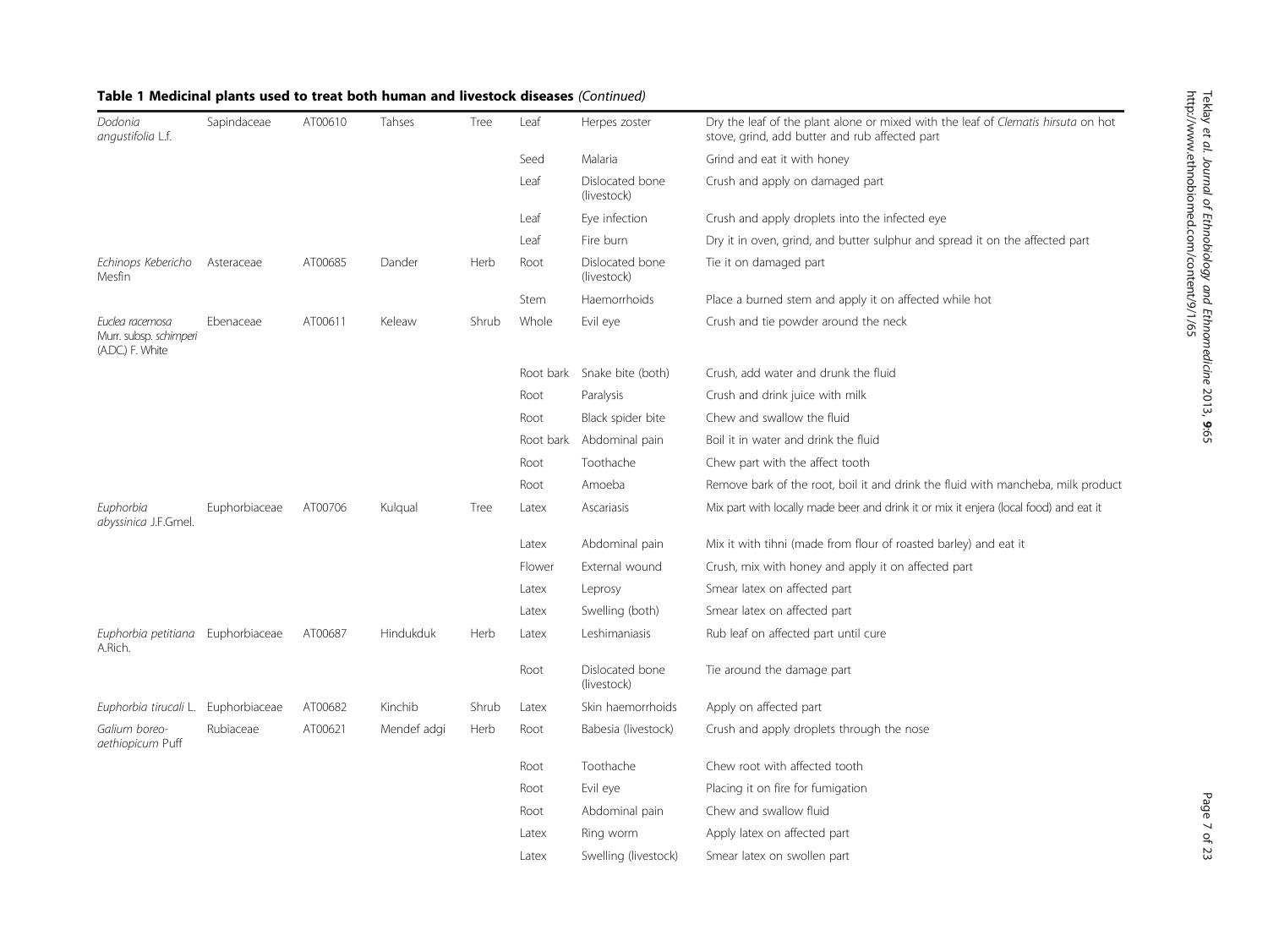| Dodonia<br>angustifolia L.f.                                  | Sapindaceae   | AT00610 | Tahses      | Tree  | Leaf      | Herpes zoster                  | Dry the leaf of the plant alone or mixed with the leaf of Clematis hirsuta on hot<br>stove, grind, add butter and rub affected part |
|---------------------------------------------------------------|---------------|---------|-------------|-------|-----------|--------------------------------|-------------------------------------------------------------------------------------------------------------------------------------|
|                                                               |               |         |             |       | Seed      | Malaria                        | Grind and eat it with honey                                                                                                         |
|                                                               |               |         |             |       | Leaf      | Dislocated bone<br>(livestock) | Crush and apply on damaged part                                                                                                     |
|                                                               |               |         |             |       | Leaf      | Eye infection                  | Crush and apply droplets into the infected eye                                                                                      |
|                                                               |               |         |             |       | Leaf      | Fire burn                      | Dry it in oven, grind, and butter sulphur and spread it on the affected part                                                        |
| Echinops Kebericho<br>Mesfin                                  | Asteraceae    | AT00685 | Dander      | Herb  | Root      | Dislocated bone<br>(livestock) | Tie it on damaged part                                                                                                              |
|                                                               |               |         |             |       | Stem      | Haemorrhoids                   | Place a burned stem and apply it on affected while hot                                                                              |
| Euclea racemosa<br>Murr. subsp. schimperi<br>(A.DC.) F. White | Ebenaceae     | AT00611 | Keleaw      | Shrub | Whole     | Evil eye                       | Crush and tie powder around the neck                                                                                                |
|                                                               |               |         |             |       | Root bark | Snake bite (both)              | Crush, add water and drunk the fluid                                                                                                |
|                                                               |               |         |             |       | Root      | Paralysis                      | Crush and drink juice with milk                                                                                                     |
|                                                               |               |         |             |       | Root      | Black spider bite              | Chew and swallow the fluid                                                                                                          |
|                                                               |               |         |             |       | Root bark | Abdominal pain                 | Boil it in water and drink the fluid                                                                                                |
|                                                               |               |         |             |       | Root      | Toothache                      | Chew part with the affect tooth                                                                                                     |
|                                                               |               |         |             |       | Root      | Amoeba                         | Remove bark of the root, boil it and drink the fluid with mancheba, milk product                                                    |
| Euphorbia<br>abyssinica J.F.Gmel.                             | Euphorbiaceae | AT00706 | Kulqual     | Tree  | Latex     | Ascariasis                     | Mix part with locally made beer and drink it or mix it enjera (local food) and eat it                                               |
|                                                               |               |         |             |       | Latex     | Abdominal pain                 | Mix it with tihni (made from flour of roasted barley) and eat it                                                                    |
|                                                               |               |         |             |       | Flower    | External wound                 | Crush, mix with honey and apply it on affected part                                                                                 |
|                                                               |               |         |             |       | Latex     | Leprosy                        | Smear latex on affected part                                                                                                        |
|                                                               |               |         |             |       | Latex     | Swelling (both)                | Smear latex on affected part                                                                                                        |
| Euphorbia petitiana Euphorbiaceae<br>A.Rich.                  |               | AT00687 | Hindukduk   | Herb  | Latex     | Leshimaniasis                  | Rub leaf on affected part until cure                                                                                                |
|                                                               |               |         |             |       | Root      | Dislocated bone<br>(livestock) | Tie around the damage part                                                                                                          |
| Euphorbia tirucali L.                                         | Euphorbiaceae | AT00682 | Kinchib     | Shrub | Latex     | Skin haemorrhoids              | Apply on affected part                                                                                                              |
| Galium boreo-<br>aethiopicum Puff                             | Rubiaceae     | AT00621 | Mendef adgi | Herb  | Root      | Babesia (livestock)            | Crush and apply droplets through the nose                                                                                           |
|                                                               |               |         |             |       | Root      | Toothache                      | Chew root with affected tooth                                                                                                       |
|                                                               |               |         |             |       | Root      | Evil eye                       | Placing it on fire for fumigation                                                                                                   |
|                                                               |               |         |             |       | Root      | Abdominal pain                 | Chew and swallow fluid                                                                                                              |
|                                                               |               |         |             |       | Latex     | Ring worm                      | Apply latex on affected part                                                                                                        |
|                                                               |               |         |             |       | Latex     | Swelling (livestock)           | Smear latex on swollen part                                                                                                         |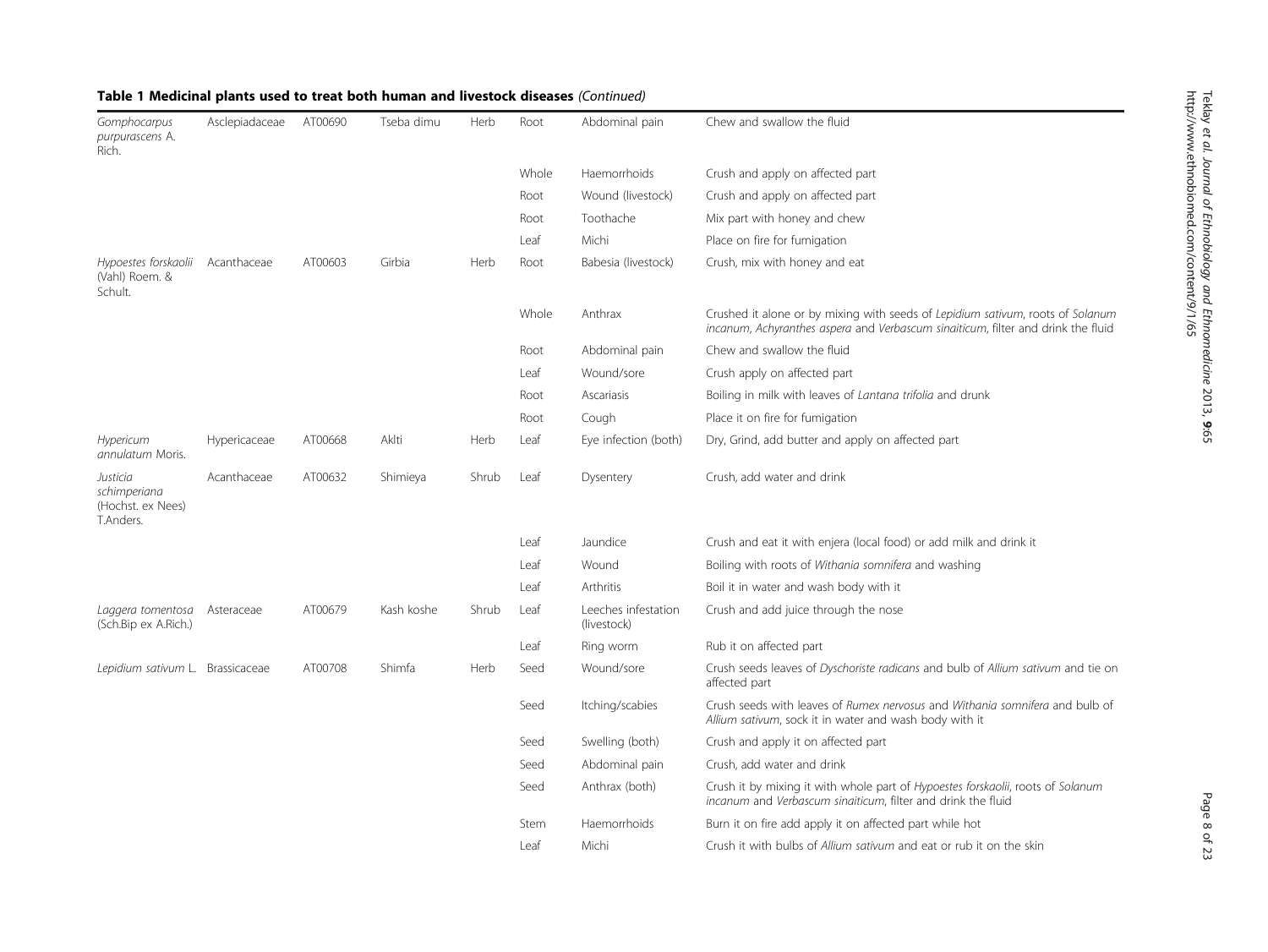| Gomphocarpus<br>purpurascens A.<br>Rich.                      | Asclepiadaceae | AT00690 | Tseba dimu | Herb  | Root  | Abdominal pain                     | Chew and swallow the fluid                                                                                                                                         |
|---------------------------------------------------------------|----------------|---------|------------|-------|-------|------------------------------------|--------------------------------------------------------------------------------------------------------------------------------------------------------------------|
|                                                               |                |         |            |       | Whole | Haemorrhoids                       | Crush and apply on affected part                                                                                                                                   |
|                                                               |                |         |            |       | Root  | Wound (livestock)                  | Crush and apply on affected part                                                                                                                                   |
|                                                               |                |         |            |       | Root  | Toothache                          | Mix part with honey and chew                                                                                                                                       |
|                                                               |                |         |            |       | Leaf  | Michi                              | Place on fire for fumigation                                                                                                                                       |
| Hypoestes forskaolii Acanthaceae<br>(Vahl) Roem. &<br>Schult. |                | AT00603 | Girbia     | Herb  | Root  | Babesia (livestock)                | Crush, mix with honey and eat                                                                                                                                      |
|                                                               |                |         |            |       | Whole | Anthrax                            | Crushed it alone or by mixing with seeds of Lepidium sativum, roots of Solanum<br>incanum, Achyranthes aspera and Verbascum sinaiticum, filter and drink the fluid |
|                                                               |                |         |            |       | Root  | Abdominal pain                     | Chew and swallow the fluid                                                                                                                                         |
|                                                               |                |         |            |       | Leaf  | Wound/sore                         | Crush apply on affected part                                                                                                                                       |
|                                                               |                |         |            |       | Root  | Ascariasis                         | Boiling in milk with leaves of Lantana trifolia and drunk                                                                                                          |
|                                                               |                |         |            |       | Root  | Cough                              | Place it on fire for fumigation                                                                                                                                    |
| Hypericum<br>annulatum Moris.                                 | Hypericaceae   | AT00668 | Aklti      | Herb  | Leaf  | Eye infection (both)               | Dry, Grind, add butter and apply on affected part                                                                                                                  |
| Justicia<br>schimperiana<br>(Hochst. ex Nees)<br>T.Anders.    | Acanthaceae    | AT00632 | Shimieya   | Shrub | Leaf  | Dysentery                          | Crush, add water and drink                                                                                                                                         |
|                                                               |                |         |            |       | Leaf  | Jaundice                           | Crush and eat it with enjera (local food) or add milk and drink it                                                                                                 |
|                                                               |                |         |            |       | Leaf  | Wound                              | Boiling with roots of Withania somnifera and washing                                                                                                               |
|                                                               |                |         |            |       | Leaf  | Arthritis                          | Boil it in water and wash body with it                                                                                                                             |
| Laggera tomentosa<br>(Sch.Bip ex A.Rich.)                     | Asteraceae     | AT00679 | Kash koshe | Shrub | Leaf  | Leeches infestation<br>(livestock) | Crush and add juice through the nose                                                                                                                               |
|                                                               |                |         |            |       | Leaf  | Ring worm                          | Rub it on affected part                                                                                                                                            |
| Lepidium sativum L. Brassicaceae                              |                | AT00708 | Shimfa     | Herb  | Seed  | Wound/sore                         | Crush seeds leaves of Dyschoriste radicans and bulb of Allium sativum and tie on<br>affected part                                                                  |
|                                                               |                |         |            |       | Seed  | Itching/scabies                    | Crush seeds with leaves of Rumex nervosus and Withania somnifera and bulb of<br>Allium sativum, sock it in water and wash body with it                             |
|                                                               |                |         |            |       | Seed  | Swelling (both)                    | Crush and apply it on affected part                                                                                                                                |
|                                                               |                |         |            |       | Seed  | Abdominal pain                     | Crush, add water and drink                                                                                                                                         |
|                                                               |                |         |            |       | Seed  | Anthrax (both)                     | Crush it by mixing it with whole part of Hypoestes forskaolii, roots of Solanum<br>incanum and Verbascum sinaiticum, filter and drink the fluid                    |
|                                                               |                |         |            |       | Stem  | Haemorrhoids                       | Burn it on fire add apply it on affected part while hot                                                                                                            |
|                                                               |                |         |            |       | Leaf  | Michi                              | Crush it with bulbs of Allium sativum and eat or rub it on the skin                                                                                                |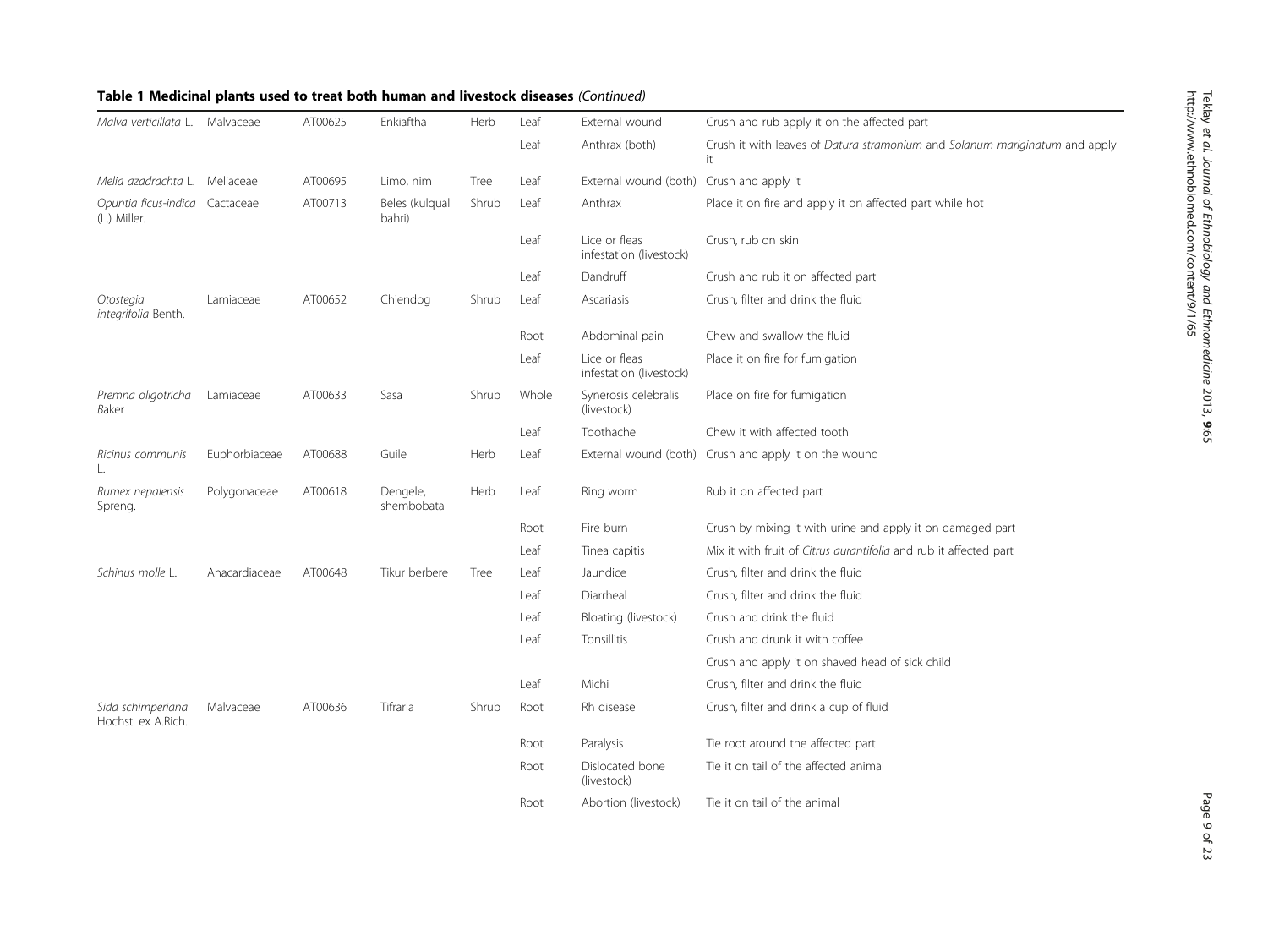| Malva verticillata L.                          | Malvaceae     | AT00625 | Enkiaftha                | Herb  | Leaf  | External wound                           | Crush and rub apply it on the affected part                                       |
|------------------------------------------------|---------------|---------|--------------------------|-------|-------|------------------------------------------|-----------------------------------------------------------------------------------|
|                                                |               |         |                          |       | Leaf  | Anthrax (both)                           | Crush it with leaves of Datura stramonium and Solanum mariginatum and apply<br>it |
| Melia azadrachta L. Meliaceae                  |               | AT00695 | Limo, nim                | Tree  | Leaf  | External wound (both)                    | Crush and apply it                                                                |
| Opuntia ficus-indica Cactaceae<br>(L.) Miller. |               | AT00713 | Beles (kulqual<br>bahri) | Shrub | Leaf  | Anthrax                                  | Place it on fire and apply it on affected part while hot                          |
|                                                |               |         |                          |       | Leaf  | Lice or fleas<br>infestation (livestock) | Crush, rub on skin                                                                |
|                                                |               |         |                          |       | Leaf  | Dandruff                                 | Crush and rub it on affected part                                                 |
| Otostegia<br>integrifolia Benth.               | Lamiaceae     | AT00652 | Chiendog                 | Shrub | Leaf  | Ascariasis                               | Crush, filter and drink the fluid                                                 |
|                                                |               |         |                          |       | Root  | Abdominal pain                           | Chew and swallow the fluid                                                        |
|                                                |               |         |                          |       | Leaf  | Lice or fleas<br>infestation (livestock) | Place it on fire for fumigation                                                   |
| Premna oligotricha<br>Baker                    | Lamiaceae     | AT00633 | Sasa                     | Shrub | Whole | Synerosis celebralis<br>(livestock)      | Place on fire for fumigation                                                      |
|                                                |               |         |                          |       | Leaf  | Toothache                                | Chew it with affected tooth                                                       |
| Ricinus communis                               | Euphorbiaceae | AT00688 | Guile                    | Herb  | Leaf  |                                          | External wound (both) Crush and apply it on the wound                             |
| Rumex nepalensis<br>Spreng.                    | Polygonaceae  | AT00618 | Dengele,<br>shembobata   | Herb  | Leaf  | Ring worm                                | Rub it on affected part                                                           |
|                                                |               |         |                          |       | Root  | Fire burn                                | Crush by mixing it with urine and apply it on damaged part                        |
|                                                |               |         |                          |       | Leaf  | Tinea capitis                            | Mix it with fruit of Citrus aurantifolia and rub it affected part                 |
| Schinus molle L.                               | Anacardiaceae | AT00648 | Tikur berbere            | Tree  | Leaf  | Jaundice                                 | Crush, filter and drink the fluid                                                 |
|                                                |               |         |                          |       | Leaf  | Diarrheal                                | Crush, filter and drink the fluid                                                 |
|                                                |               |         |                          |       | Leaf  | Bloating (livestock)                     | Crush and drink the fluid                                                         |
|                                                |               |         |                          |       | Leaf  | Tonsillitis                              | Crush and drunk it with coffee                                                    |
|                                                |               |         |                          |       |       |                                          | Crush and apply it on shaved head of sick child                                   |
|                                                |               |         |                          |       | Leaf  | Michi                                    | Crush, filter and drink the fluid                                                 |
| Sida schimperiana<br>Hochst. ex A.Rich.        | Malvaceae     | AT00636 | Tifraria                 | Shrub | Root  | Rh disease                               | Crush, filter and drink a cup of fluid                                            |
|                                                |               |         |                          |       | Root  | Paralysis                                | Tie root around the affected part                                                 |
|                                                |               |         |                          |       | Root  | Dislocated bone<br>(livestock)           | Tie it on tail of the affected animal                                             |
|                                                |               |         |                          |       | Root  | Abortion (livestock)                     | Tie it on tail of the animal                                                      |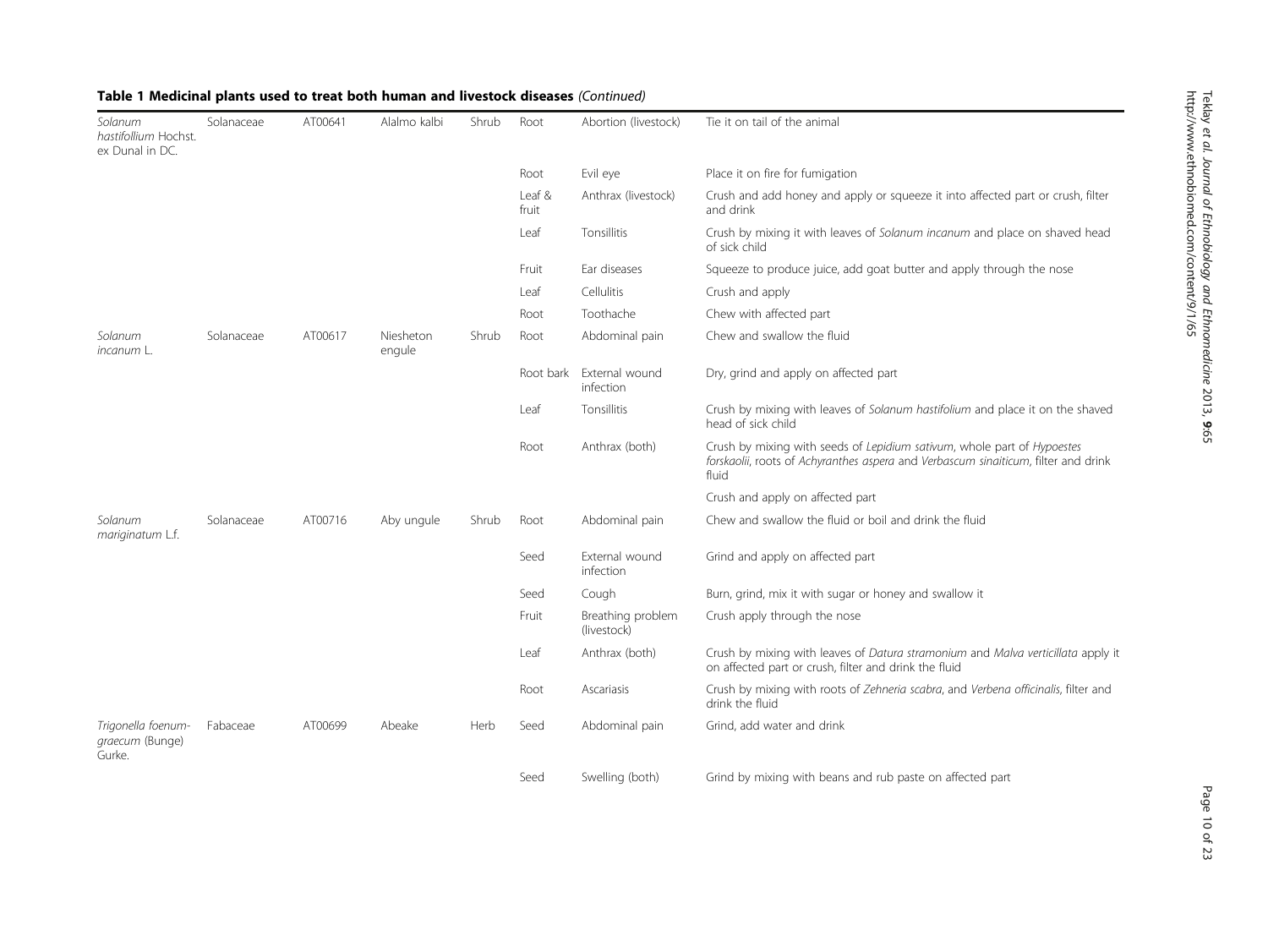| Solanum<br>hastifollium Hochst.<br>ex Dunal in DC. | Solanaceae | AT00641 | Alalmo kalbi        | Shrub | Root            | Abortion (livestock)                  | Tie it on tail of the animal                                                                                                                                           |
|----------------------------------------------------|------------|---------|---------------------|-------|-----------------|---------------------------------------|------------------------------------------------------------------------------------------------------------------------------------------------------------------------|
|                                                    |            |         |                     |       | Root            | Evil eye                              | Place it on fire for fumigation                                                                                                                                        |
|                                                    |            |         |                     |       | Leaf &<br>fruit | Anthrax (livestock)                   | Crush and add honey and apply or squeeze it into affected part or crush, filter<br>and drink                                                                           |
|                                                    |            |         |                     |       | Leaf            | Tonsillitis                           | Crush by mixing it with leaves of Solanum incanum and place on shaved head<br>of sick child                                                                            |
|                                                    |            |         |                     |       | Fruit           | Ear diseases                          | Squeeze to produce juice, add goat butter and apply through the nose                                                                                                   |
|                                                    |            |         |                     |       | Leaf            | Cellulitis                            | Crush and apply                                                                                                                                                        |
|                                                    |            |         |                     |       | Root            | Toothache                             | Chew with affected part                                                                                                                                                |
| Solanum<br>incanum L.                              | Solanaceae | AT00617 | Niesheton<br>engule | Shrub | Root            | Abdominal pain                        | Chew and swallow the fluid                                                                                                                                             |
|                                                    |            |         |                     |       |                 | Root bark External wound<br>infection | Dry, grind and apply on affected part                                                                                                                                  |
|                                                    |            |         |                     |       | Leaf            | Tonsillitis                           | Crush by mixing with leaves of Solanum hastifolium and place it on the shaved<br>head of sick child                                                                    |
|                                                    |            |         |                     |       | Root            | Anthrax (both)                        | Crush by mixing with seeds of Lepidium sativum, whole part of Hypoestes<br>forskaolii, roots of Achyranthes aspera and Verbascum sinaiticum, filter and drink<br>fluid |
|                                                    |            |         |                     |       |                 |                                       | Crush and apply on affected part                                                                                                                                       |
| Solanum<br>mariginatum L.f.                        | Solanaceae | AT00716 | Aby ungule          | Shrub | Root            | Abdominal pain                        | Chew and swallow the fluid or boil and drink the fluid                                                                                                                 |
|                                                    |            |         |                     |       | Seed            | External wound<br>infection           | Grind and apply on affected part                                                                                                                                       |
|                                                    |            |         |                     |       | Seed            | Cough                                 | Burn, grind, mix it with sugar or honey and swallow it                                                                                                                 |
|                                                    |            |         |                     |       | Fruit           | Breathing problem<br>(livestock)      | Crush apply through the nose                                                                                                                                           |
|                                                    |            |         |                     |       | Leaf            | Anthrax (both)                        | Crush by mixing with leaves of Datura stramonium and Malva verticillata apply it<br>on affected part or crush, filter and drink the fluid                              |
|                                                    |            |         |                     |       | Root            | Ascariasis                            | Crush by mixing with roots of Zehneria scabra, and Verbena officinalis, filter and<br>drink the fluid                                                                  |
| Trigonella foenum-<br>graecum (Bunge)<br>Gurke.    | Fabaceae   | AT00699 | Abeake              | Herb  | Seed            | Abdominal pain                        | Grind, add water and drink                                                                                                                                             |
|                                                    |            |         |                     |       | Seed            | Swelling (both)                       | Grind by mixing with beans and rub paste on affected part                                                                                                              |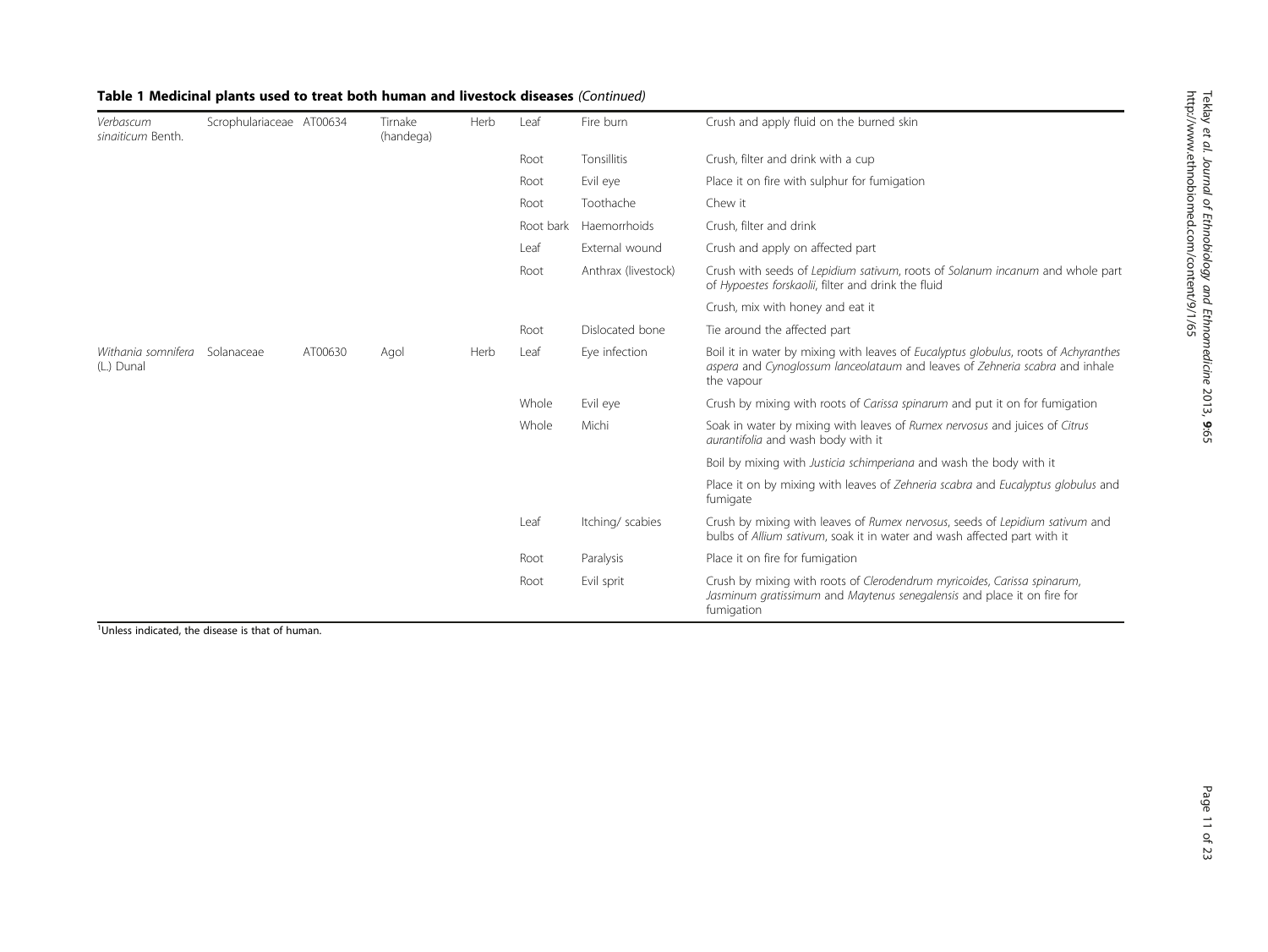| Verbascum<br>singiticum Benth.   | Scrophulariaceae AT00634 |         | Tirnake<br>(handega) | Herb | Leaf      | Fire burn           | Crush and apply fluid on the burned skin                                                                                                                                          |
|----------------------------------|--------------------------|---------|----------------------|------|-----------|---------------------|-----------------------------------------------------------------------------------------------------------------------------------------------------------------------------------|
|                                  |                          |         |                      |      | Root      | Tonsillitis         | Crush, filter and drink with a cup                                                                                                                                                |
|                                  |                          |         |                      |      | Root      | Evil eye            | Place it on fire with sulphur for fumigation                                                                                                                                      |
|                                  |                          |         |                      |      | Root      | Toothache           | Chew it                                                                                                                                                                           |
|                                  |                          |         |                      |      | Root bark | Haemorrhoids        | Crush, filter and drink                                                                                                                                                           |
|                                  |                          |         |                      |      | Leaf      | External wound      | Crush and apply on affected part                                                                                                                                                  |
|                                  |                          |         |                      |      | Root      | Anthrax (livestock) | Crush with seeds of Lepidium sativum, roots of Solanum incanum and whole part<br>of Hypoestes forskaolii, filter and drink the fluid                                              |
|                                  |                          |         |                      |      |           |                     | Crush, mix with honey and eat it                                                                                                                                                  |
|                                  |                          |         |                      |      | Root      | Dislocated bone     | Tie around the affected part                                                                                                                                                      |
| Withania somnifera<br>(L.) Dunal | Solanaceae               | AT00630 | Agol                 | Herb | Leaf      | Eye infection       | Boil it in water by mixing with leaves of Eucalyptus globulus, roots of Achyranthes<br>aspera and Cynoglossum lanceolataum and leaves of Zehneria scabra and inhale<br>the vapour |
|                                  |                          |         |                      |      | Whole     | Evil eye            | Crush by mixing with roots of Carissa spinarum and put it on for fumigation                                                                                                       |
|                                  |                          |         |                      |      | Whole     | Michi               | Soak in water by mixing with leaves of Rumex nervosus and juices of Citrus<br>aurantifolia and wash body with it                                                                  |
|                                  |                          |         |                      |      |           |                     | Boil by mixing with Justicia schimperiana and wash the body with it                                                                                                               |
|                                  |                          |         |                      |      |           |                     | Place it on by mixing with leaves of Zehneria scabra and Eucalyptus globulus and<br>fumigate                                                                                      |
|                                  |                          |         |                      |      | Leaf      | Itching/scabies     | Crush by mixing with leaves of Rumex nervosus, seeds of Lepidium sativum and<br>bulbs of Allium sativum, soak it in water and wash affected part with it                          |
|                                  |                          |         |                      |      | Root      | Paralysis           | Place it on fire for fumigation                                                                                                                                                   |
|                                  |                          |         |                      |      | Root      | Evil sprit          | Crush by mixing with roots of Clerodendrum myricoides, Carissa spinarum,<br>Jasminum gratissimum and Maytenus senegalensis and place it on fire for<br>fumigation                 |

<sup>1</sup>Unless indicated, the disease is that of human.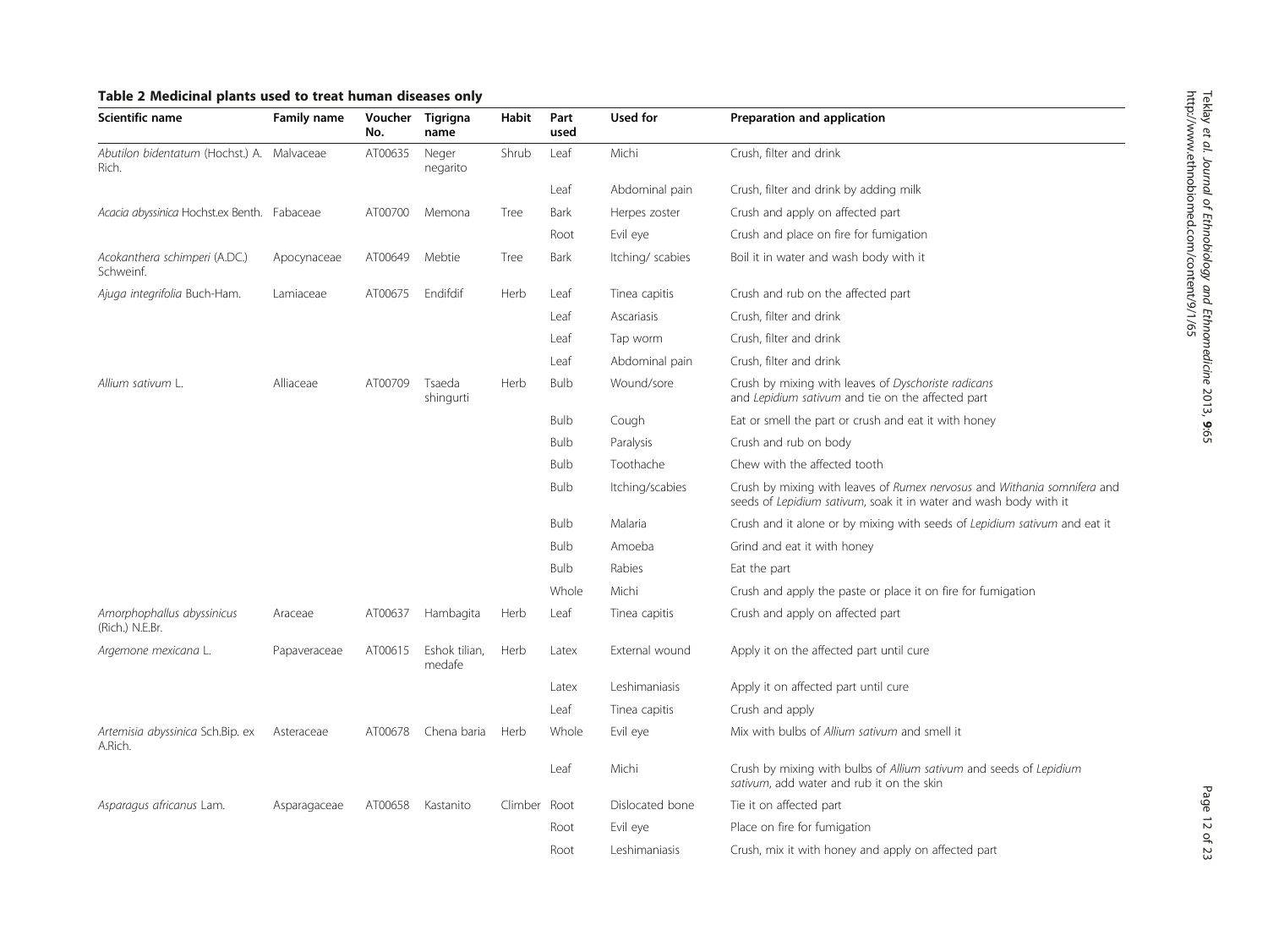<span id="page-11-0"></span>

| Scientific name                                     | Family name  | No.     | Voucher Tigrigna<br>name | Habit        | Part<br>used | Used for         | Preparation and application                                                                                                                   |
|-----------------------------------------------------|--------------|---------|--------------------------|--------------|--------------|------------------|-----------------------------------------------------------------------------------------------------------------------------------------------|
| Abutilon bidentatum (Hochst.) A. Malvaceae<br>Rich. |              | AT00635 | Neger<br>negarito        | Shrub        | Leaf         | Michi            | Crush, filter and drink                                                                                                                       |
|                                                     |              |         |                          |              | Leaf         | Abdominal pain   | Crush, filter and drink by adding milk                                                                                                        |
| Acacia abyssinica Hochst.ex Benth. Fabaceae         |              | AT00700 | Memona                   | Tree         | Bark         | Herpes zoster    | Crush and apply on affected part                                                                                                              |
|                                                     |              |         |                          |              | Root         | Evil eye         | Crush and place on fire for fumigation                                                                                                        |
| Acokanthera schimperi (A.DC.)<br>Schweinf.          | Apocynaceae  | AT00649 | Mebtie                   | Tree         | Bark         | Itching/ scabies | Boil it in water and wash body with it                                                                                                        |
| Ajuga integrifolia Buch-Ham.                        | Lamiaceae    | AT00675 | Endifdif                 | Herb         | Leaf         | Tinea capitis    | Crush and rub on the affected part                                                                                                            |
|                                                     |              |         |                          |              | Leaf         | Ascariasis       | Crush, filter and drink                                                                                                                       |
|                                                     |              |         |                          |              | Leaf         | Tap worm         | Crush, filter and drink                                                                                                                       |
|                                                     |              |         |                          |              | Leaf         | Abdominal pain   | Crush, filter and drink                                                                                                                       |
| Allium sativum L.                                   | Alliaceae    | AT00709 | Tsaeda<br>shingurti      | Herb         | <b>Bulb</b>  | Wound/sore       | Crush by mixing with leaves of Dyschoriste radicans<br>and Lepidium sativum and tie on the affected part                                      |
|                                                     |              |         |                          |              | <b>Bulb</b>  | Cough            | Eat or smell the part or crush and eat it with honey                                                                                          |
|                                                     |              |         |                          |              | <b>Bulb</b>  | Paralysis        | Crush and rub on body                                                                                                                         |
|                                                     |              |         |                          |              | <b>Bulb</b>  | Toothache        | Chew with the affected tooth                                                                                                                  |
|                                                     |              |         |                          |              | <b>Bulb</b>  | Itching/scabies  | Crush by mixing with leaves of Rumex nervosus and Withania somnifera and<br>seeds of Lepidium sativum, soak it in water and wash body with it |
|                                                     |              |         |                          |              | <b>Bulb</b>  | Malaria          | Crush and it alone or by mixing with seeds of Lepidium sativum and eat it                                                                     |
|                                                     |              |         |                          |              | <b>Bulb</b>  | Amoeba           | Grind and eat it with honey                                                                                                                   |
|                                                     |              |         |                          |              | <b>Bulb</b>  | Rabies           | Eat the part                                                                                                                                  |
|                                                     |              |         |                          |              | Whole        | Michi            | Crush and apply the paste or place it on fire for fumigation                                                                                  |
| Amorphophallus abyssinicus<br>(Rich.) N.E.Br.       | Araceae      | AT00637 | Hambagita                | Herb         | Leaf         | Tinea capitis    | Crush and apply on affected part                                                                                                              |
| Argemone mexicana L.                                | Papaveraceae | AT00615 | Eshok tilian,<br>medafe  | Herb         | Latex        | External wound   | Apply it on the affected part until cure                                                                                                      |
|                                                     |              |         |                          |              | Latex        | Leshimaniasis    | Apply it on affected part until cure                                                                                                          |
|                                                     |              |         |                          |              | Leaf         | Tinea capitis    | Crush and apply                                                                                                                               |
| Artemisia abyssinica Sch.Bip. ex<br>A.Rich.         | Asteraceae   | AT00678 | Chena baria              | Herb         | Whole        | Evil eye         | Mix with bulbs of Allium sativum and smell it                                                                                                 |
|                                                     |              |         |                          |              | Leaf         | Michi            | Crush by mixing with bulbs of Allium sativum and seeds of Lepidium<br>sativum, add water and rub it on the skin                               |
| Asparagus africanus Lam.                            | Asparagaceae | AT00658 | Kastanito                | Climber Root |              | Dislocated bone  | Tie it on affected part                                                                                                                       |
|                                                     |              |         |                          |              | Root         | Evil eye         | Place on fire for fumigation                                                                                                                  |
|                                                     |              |         |                          |              | Root         | Leshimaniasis    | Crush, mix it with honey and apply on affected part                                                                                           |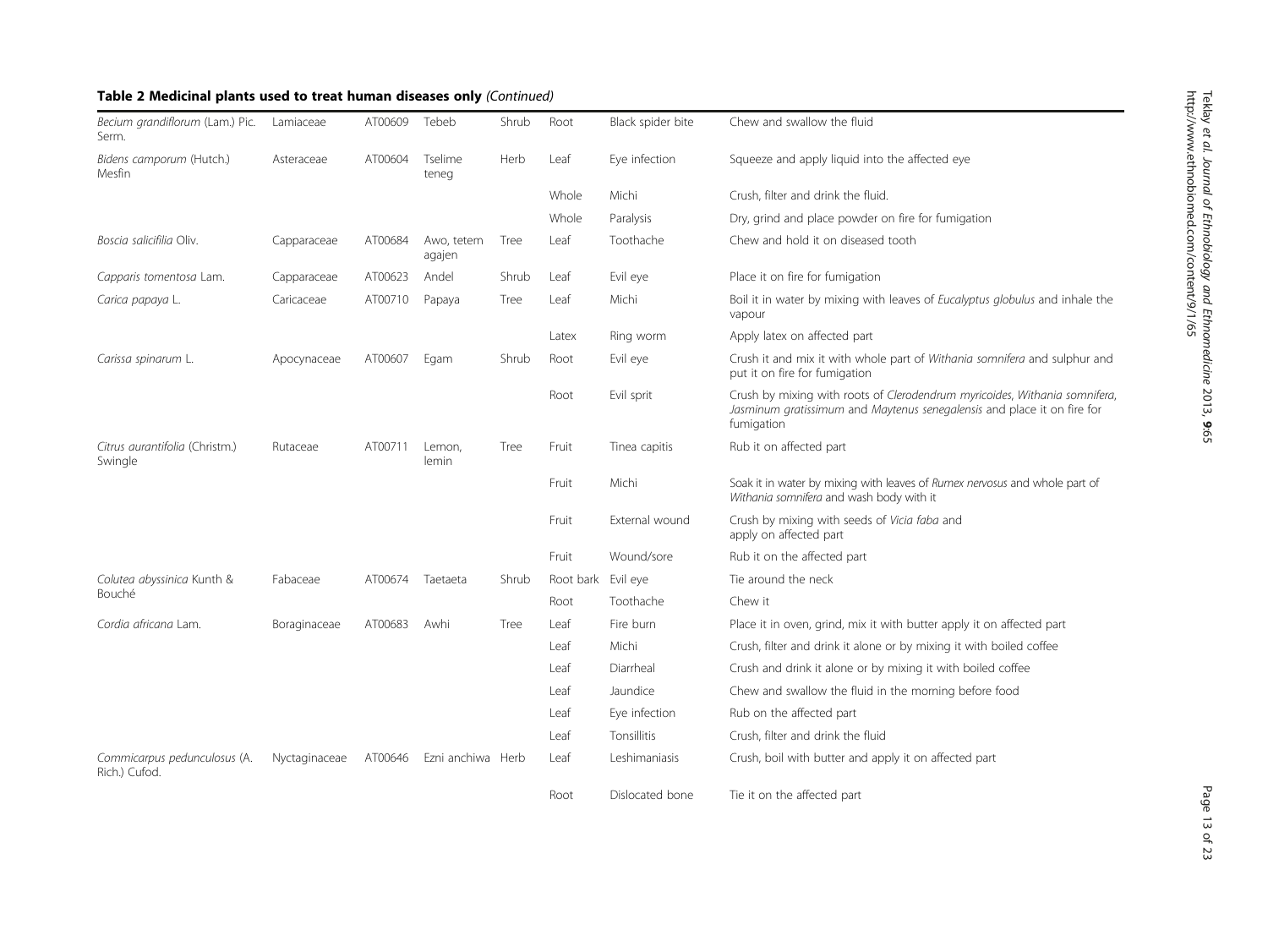| Becium grandiflorum (Lam.) Pic.<br>Serm.      | Lamiaceae     | AT00609 | Tebeb                | Shrub | Root               | Black spider bite | Chew and swallow the fluid                                                                                                                                          |
|-----------------------------------------------|---------------|---------|----------------------|-------|--------------------|-------------------|---------------------------------------------------------------------------------------------------------------------------------------------------------------------|
| Bidens camporum (Hutch.)<br>Mesfin            | Asteraceae    | AT00604 | Tselime<br>teneg     | Herb  | Leaf               | Eye infection     | Squeeze and apply liquid into the affected eye                                                                                                                      |
|                                               |               |         |                      |       | Whole              | Michi             | Crush, filter and drink the fluid.                                                                                                                                  |
|                                               |               |         |                      |       | Whole              | Paralysis         | Dry, grind and place powder on fire for fumigation                                                                                                                  |
| Boscia salicifilia Oliv.                      | Capparaceae   | AT00684 | Awo, tetem<br>agajen | Tree  | Leaf               | Toothache         | Chew and hold it on diseased tooth                                                                                                                                  |
| Capparis tomentosa Lam.                       | Capparaceae   | AT00623 | Andel                | Shrub | Leaf               | Evil eye          | Place it on fire for fumigation                                                                                                                                     |
| Carica papaya L.                              | Caricaceae    | AT00710 | Papaya               | Tree  | Leaf               | Michi             | Boil it in water by mixing with leaves of <i>Eucalyptus globulus</i> and inhale the<br>vapour                                                                       |
|                                               |               |         |                      |       | Latex              | Ring worm         | Apply latex on affected part                                                                                                                                        |
| Carissa spinarum L.                           | Apocynaceae   | AT00607 | Egam                 | Shrub | Root               | Evil eye          | Crush it and mix it with whole part of Withania somnifera and sulphur and<br>put it on fire for fumigation                                                          |
|                                               |               |         |                      |       | Root               | Evil sprit        | Crush by mixing with roots of Clerodendrum myricoides, Withania somnifera,<br>Jasminum gratissimum and Maytenus senegalensis and place it on fire for<br>fumigation |
| Citrus aurantifolia (Christm.)<br>Swingle     | Rutaceae      | AT00711 | Lemon,<br>lemin      | Tree  | Fruit              | Tinea capitis     | Rub it on affected part                                                                                                                                             |
|                                               |               |         |                      |       | Fruit              | Michi             | Soak it in water by mixing with leaves of Rumex nervosus and whole part of<br>Withania somnifera and wash body with it                                              |
|                                               |               |         |                      |       | Fruit              | External wound    | Crush by mixing with seeds of Vicia faba and<br>apply on affected part                                                                                              |
|                                               |               |         |                      |       | Fruit              | Wound/sore        | Rub it on the affected part                                                                                                                                         |
| Colutea abyssinica Kunth &                    | Fabaceae      | AT00674 | Taetaeta             | Shrub | Root bark Evil eye |                   | Tie around the neck                                                                                                                                                 |
| Bouché                                        |               |         |                      |       | Root               | Toothache         | Chew it                                                                                                                                                             |
| Cordia africana Lam.                          | Boraginaceae  | AT00683 | Awhi                 | Tree  | Leaf               | Fire burn         | Place it in oven, grind, mix it with butter apply it on affected part                                                                                               |
|                                               |               |         |                      |       | Leaf               | Michi             | Crush, filter and drink it alone or by mixing it with boiled coffee                                                                                                 |
|                                               |               |         |                      |       | Leaf               | Diarrheal         | Crush and drink it alone or by mixing it with boiled coffee                                                                                                         |
|                                               |               |         |                      |       | Leaf               | Jaundice          | Chew and swallow the fluid in the morning before food                                                                                                               |
|                                               |               |         |                      |       | Leaf               | Eye infection     | Rub on the affected part                                                                                                                                            |
|                                               |               |         |                      |       | Leaf               | Tonsillitis       | Crush, filter and drink the fluid                                                                                                                                   |
| Commicarpus pedunculosus (A.<br>Rich.) Cufod. | Nyctaginaceae | AT00646 | Ezni anchiwa Herb    |       | Leaf               | Leshimaniasis     | Crush, boil with butter and apply it on affected part                                                                                                               |
|                                               |               |         |                      |       | Root               | Dislocated bone   | Tie it on the affected part                                                                                                                                         |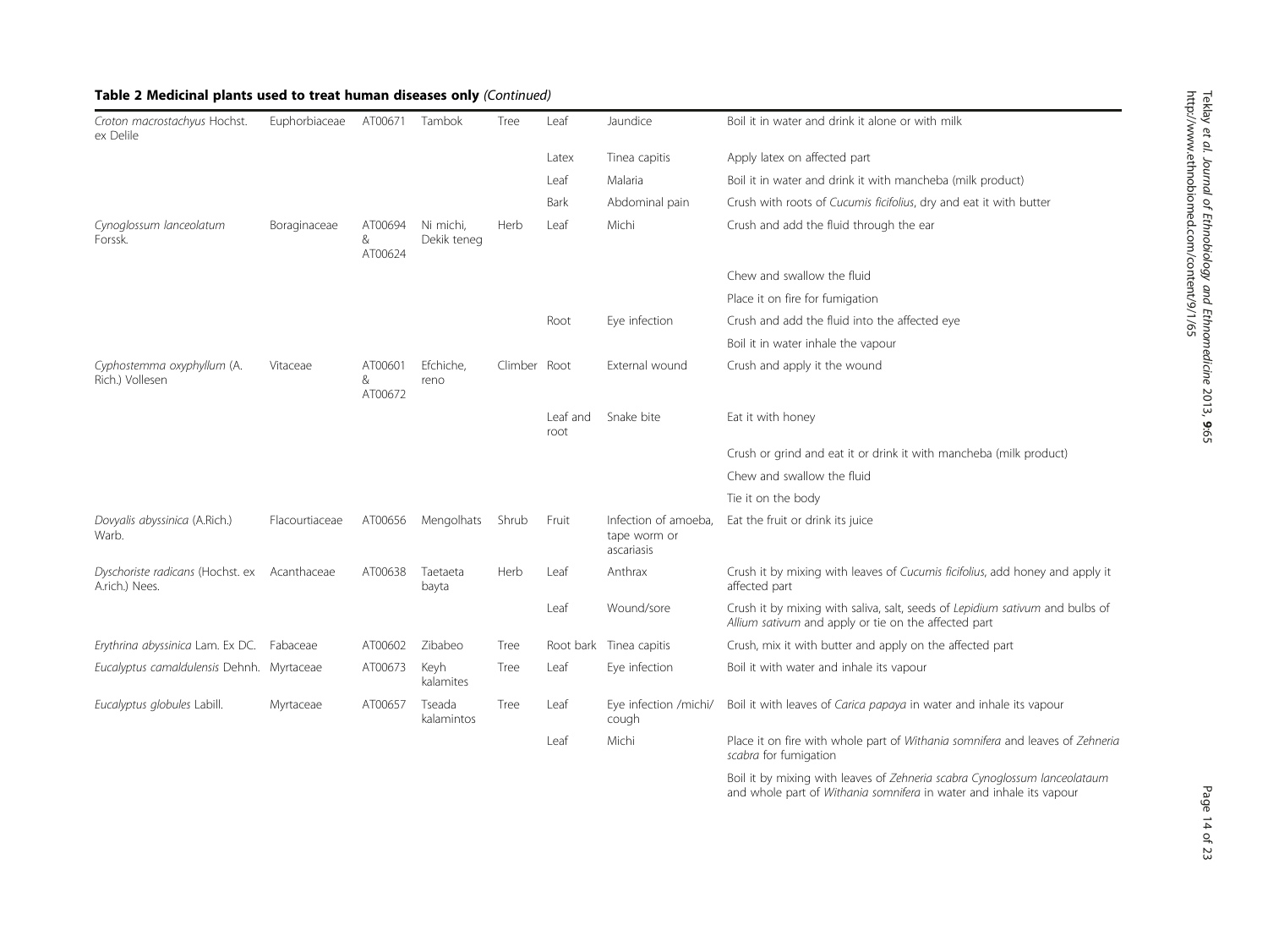| Croton macrostachyus Hochst.<br>ex Delile          | Euphorbiaceae  | AT00671                 | Tambok                   | Tree         | Leaf             | Jaundice                                           | Boil it in water and drink it alone or with milk                                                                                     |
|----------------------------------------------------|----------------|-------------------------|--------------------------|--------------|------------------|----------------------------------------------------|--------------------------------------------------------------------------------------------------------------------------------------|
|                                                    |                |                         |                          |              | Latex            | Tinea capitis                                      | Apply latex on affected part                                                                                                         |
|                                                    |                |                         |                          |              | Leaf             | Malaria                                            | Boil it in water and drink it with mancheba (milk product)                                                                           |
|                                                    |                |                         |                          |              | Bark             | Abdominal pain                                     | Crush with roots of Cucumis ficifolius, dry and eat it with butter                                                                   |
| Cynoglossum lanceolatum<br>Forssk.                 | Boraginaceae   | AT00694<br>&<br>AT00624 | Ni michi,<br>Dekik teneg | Herb         | Leaf             | Michi                                              | Crush and add the fluid through the ear                                                                                              |
|                                                    |                |                         |                          |              |                  |                                                    | Chew and swallow the fluid                                                                                                           |
|                                                    |                |                         |                          |              |                  |                                                    | Place it on fire for fumigation                                                                                                      |
|                                                    |                |                         |                          |              | Root             | Eye infection                                      | Crush and add the fluid into the affected eye                                                                                        |
|                                                    |                |                         |                          |              |                  |                                                    | Boil it in water inhale the vapour                                                                                                   |
| Cyphostemma oxyphyllum (A.<br>Rich.) Vollesen      | Vitaceae       | AT00601<br>&<br>AT00672 | Efchiche,<br>reno        | Climber Root |                  | External wound                                     | Crush and apply it the wound                                                                                                         |
|                                                    |                |                         |                          |              | Leaf and<br>root | Snake bite                                         | Eat it with honey                                                                                                                    |
|                                                    |                |                         |                          |              |                  |                                                    | Crush or grind and eat it or drink it with mancheba (milk product)                                                                   |
|                                                    |                |                         |                          |              |                  |                                                    | Chew and swallow the fluid                                                                                                           |
|                                                    |                |                         |                          |              |                  |                                                    | Tie it on the body                                                                                                                   |
| Dovyalis abyssinica (A.Rich.)<br>Warb.             | Flacourtiaceae | AT00656                 | Mengolhats               | Shrub        | Fruit            | Infection of amoeba.<br>tape worm or<br>ascariasis | Eat the fruit or drink its juice                                                                                                     |
| Dyschoriste radicans (Hochst. ex<br>A.rich.) Nees. | Acanthaceae    | AT00638                 | Taetaeta<br>bayta        | Herb         | Leaf             | Anthrax                                            | Crush it by mixing with leaves of Cucumis ficifolius, add honey and apply it<br>affected part                                        |
|                                                    |                |                         |                          |              | Leaf             | Wound/sore                                         | Crush it by mixing with saliva, salt, seeds of Lepidium sativum and bulbs of<br>Allium sativum and apply or tie on the affected part |
| Erythrina abyssinica Lam. Ex DC.                   | Fabaceae       | AT00602                 | Zibabeo                  | Tree         |                  | Root bark Tinea capitis                            | Crush, mix it with butter and apply on the affected part                                                                             |
| Eucalyptus camaldulensis Dehnh. Myrtaceae          |                | AT00673                 | Keyh<br>kalamites        | Tree         | Leaf             | Eye infection                                      | Boil it with water and inhale its vapour                                                                                             |
| Eucalyptus globules Labill.                        | Myrtaceae      | AT00657                 | Tseada<br>kalamintos     | Tree         | Leaf             | Eye infection /michi/<br>cough                     | Boil it with leaves of Carica papaya in water and inhale its vapour                                                                  |
|                                                    |                |                         |                          |              | Leaf             | Michi                                              | Place it on fire with whole part of Withania somnifera and leaves of Zehneria<br>scabra for fumigation                               |
|                                                    |                |                         |                          |              |                  |                                                    |                                                                                                                                      |

Boil it by mixing with leaves of Zehneria scabra Cynoglossum lanceolataum and whole part of Withania somnifera in water and inhale its vapour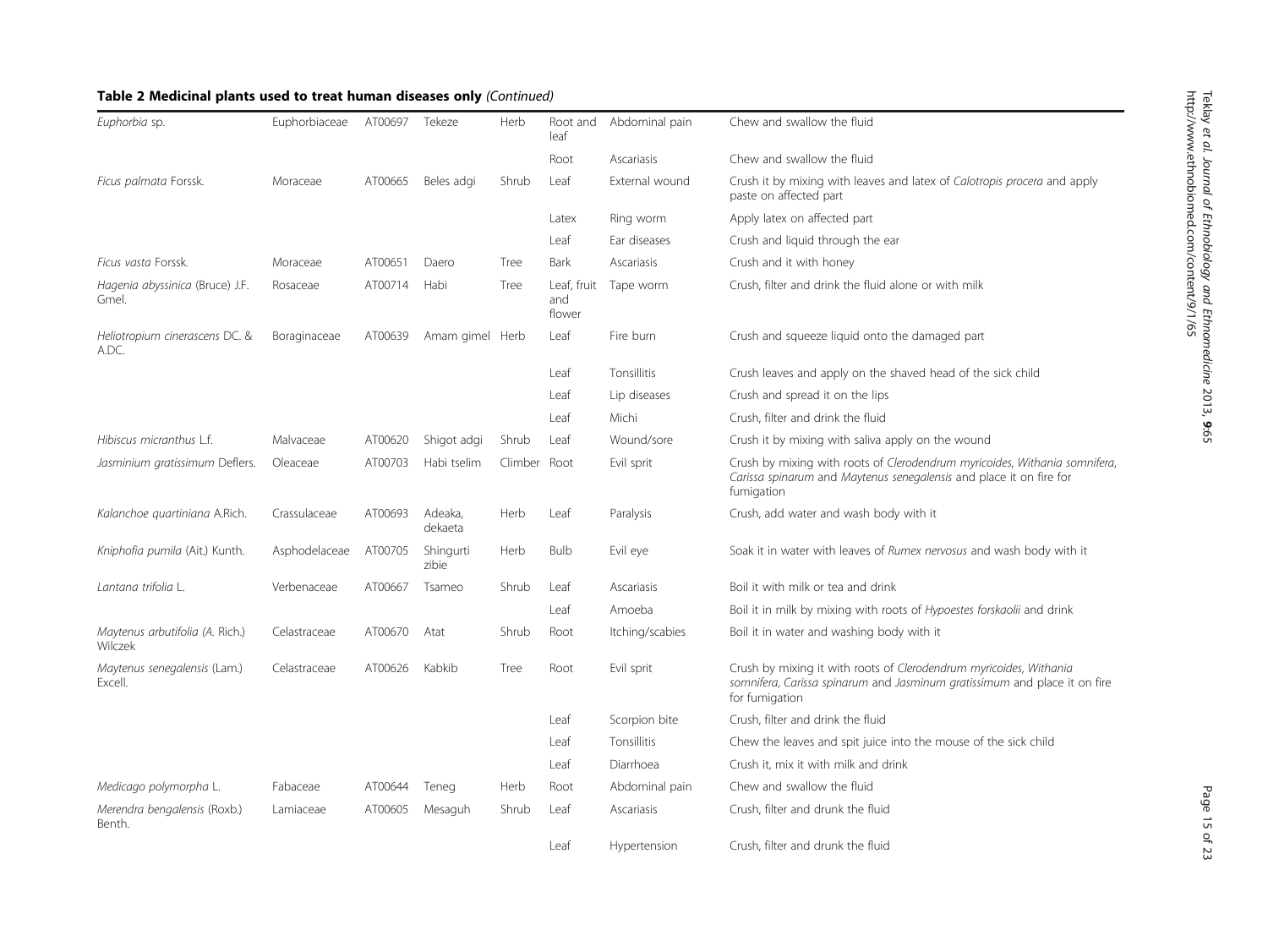| Euphorbia sp.                              | Euphorbiaceae | AT00697 | Tekeze             | Herb         | Root and<br>leaf             | Abdominal pain  | Chew and swallow the fluid                                                                                                                                        |
|--------------------------------------------|---------------|---------|--------------------|--------------|------------------------------|-----------------|-------------------------------------------------------------------------------------------------------------------------------------------------------------------|
|                                            |               |         |                    |              | Root                         | Ascariasis      | Chew and swallow the fluid                                                                                                                                        |
| Ficus palmata Forssk.                      | Moraceae      | AT00665 | Beles adgi         | Shrub        | Leaf                         | External wound  | Crush it by mixing with leaves and latex of Calotropis procera and apply<br>paste on affected part                                                                |
|                                            |               |         |                    |              | Latex                        | Ring worm       | Apply latex on affected part                                                                                                                                      |
|                                            |               |         |                    |              | Leaf                         | Ear diseases    | Crush and liquid through the ear                                                                                                                                  |
| Ficus vasta Forssk.                        | Moraceae      | AT00651 | Daero              | Tree         | Bark                         | Ascariasis      | Crush and it with honey                                                                                                                                           |
| Hagenia abyssinica (Bruce) J.F.<br>Gmel.   | Rosaceae      | AT00714 | Habi               | Tree         | Leaf, fruit<br>and<br>flower | Tape worm       | Crush, filter and drink the fluid alone or with milk                                                                                                              |
| Heliotropium cinerascens DC. &<br>A.DC.    | Boraginaceae  | AT00639 | Amam gimel Herb    |              | Leaf                         | Fire burn       | Crush and squeeze liquid onto the damaged part                                                                                                                    |
|                                            |               |         |                    |              | Leaf                         | Tonsillitis     | Crush leaves and apply on the shaved head of the sick child                                                                                                       |
|                                            |               |         |                    |              | Leaf                         | Lip diseases    | Crush and spread it on the lips                                                                                                                                   |
|                                            |               |         |                    |              | Leaf                         | Michi           | Crush, filter and drink the fluid                                                                                                                                 |
| Hibiscus micranthus L.f.                   | Malvaceae     | AT00620 | Shigot adgi        | Shrub        | Leaf                         | Wound/sore      | Crush it by mixing with saliva apply on the wound                                                                                                                 |
| Jasminium gratissimum Deflers.             | Oleaceae      | AT00703 | Habi tselim        | Climber Root |                              | Evil sprit      | Crush by mixing with roots of Clerodendrum myricoides, Withania somnifera,<br>Carissa spinarum and Maytenus senegalensis and place it on fire for<br>fumigation   |
| Kalanchoe quartiniana A.Rich.              | Crassulaceae  | AT00693 | Adeaka,<br>dekaeta | Herb         | Leaf                         | Paralysis       | Crush, add water and wash body with it                                                                                                                            |
| Kniphofia pumila (Ait.) Kunth.             | Asphodelaceae | AT00705 | Shingurti<br>zibie | Herb         | <b>Bulb</b>                  | Evil eye        | Soak it in water with leaves of Rumex nervosus and wash body with it                                                                                              |
| Lantana trifolia L.                        | Verbenaceae   | AT00667 | Tsameo             | Shrub        | Leaf                         | Ascariasis      | Boil it with milk or tea and drink                                                                                                                                |
|                                            |               |         |                    |              | Leaf                         | Amoeba          | Boil it in milk by mixing with roots of Hypoestes forskaolii and drink                                                                                            |
| Maytenus arbutifolia (A. Rich.)<br>Wilczek | Celastraceae  | AT00670 | Atat               | Shrub        | Root                         | Itching/scabies | Boil it in water and washing body with it                                                                                                                         |
| Maytenus senegalensis (Lam.)<br>Excell.    | Celastraceae  | AT00626 | Kabkib             | Tree         | Root                         | Evil sprit      | Crush by mixing it with roots of Clerodendrum myricoides, Withania<br>somnifera, Carissa spinarum and Jasminum gratissimum and place it on fire<br>for fumigation |
|                                            |               |         |                    |              | Leaf                         | Scorpion bite   | Crush, filter and drink the fluid                                                                                                                                 |
|                                            |               |         |                    |              | Leaf                         | Tonsillitis     | Chew the leaves and spit juice into the mouse of the sick child                                                                                                   |
|                                            |               |         |                    |              | Leaf                         | Diarrhoea       | Crush it, mix it with milk and drink                                                                                                                              |
| Medicago polymorpha L.                     | Fabaceae      | AT00644 | Teneg              | Herb         | Root                         | Abdominal pain  | Chew and swallow the fluid                                                                                                                                        |
| Merendra bengalensis (Roxb.)<br>Benth.     | Lamiaceae     | AT00605 | Mesaguh            | Shrub        | Leaf                         | Ascariasis      | Crush, filter and drunk the fluid                                                                                                                                 |
|                                            |               |         |                    |              | Leaf                         | Hypertension    | Crush, filter and drunk the fluid                                                                                                                                 |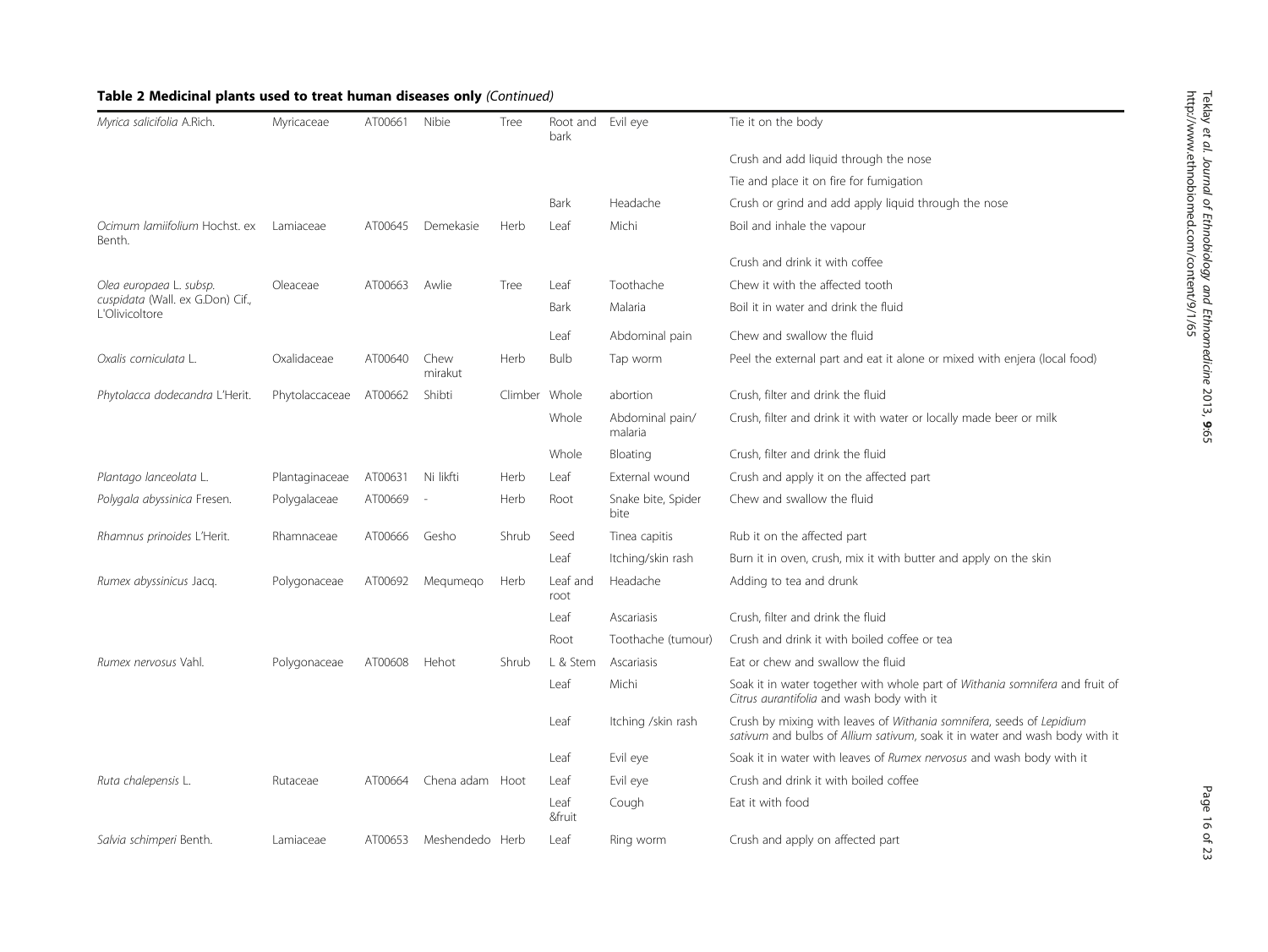| Myrica salicifolia A.Rich.                         | Myricaceae     | AT00661 | Nibie           | Tree          | Root and Evil eye<br>bark |                            | Tie it on the body                                                                                                                                  |
|----------------------------------------------------|----------------|---------|-----------------|---------------|---------------------------|----------------------------|-----------------------------------------------------------------------------------------------------------------------------------------------------|
|                                                    |                |         |                 |               |                           |                            | Crush and add liquid through the nose                                                                                                               |
|                                                    |                |         |                 |               |                           |                            | Tie and place it on fire for fumigation                                                                                                             |
|                                                    |                |         |                 |               | <b>Bark</b>               | Headache                   | Crush or grind and add apply liquid through the nose                                                                                                |
| Ocimum lamiifolium Hochst. ex<br>Benth.            | Lamiaceae      | AT00645 | Demekasie       | Herb          | Leaf                      | Michi                      | Boil and inhale the vapour                                                                                                                          |
|                                                    |                |         |                 |               |                           |                            | Crush and drink it with coffee                                                                                                                      |
| Olea europaea L. subsp.                            | Oleaceae       | AT00663 | Awlie           | Tree          | Leaf                      | Toothache                  | Chew it with the affected tooth                                                                                                                     |
| cuspidata (Wall. ex G.Don) Cif.,<br>L'Olivicoltore |                |         |                 |               | Bark                      | Malaria                    | Boil it in water and drink the fluid                                                                                                                |
|                                                    |                |         |                 |               | Leaf                      | Abdominal pain             | Chew and swallow the fluid                                                                                                                          |
| Oxalis corniculata L.                              | Oxalidaceae    | AT00640 | Chew<br>mirakut | Herb          | Bulb                      | Tap worm                   | Peel the external part and eat it alone or mixed with enjera (local food)                                                                           |
| Phytolacca dodecandra L'Herit.                     | Phytolaccaceae | AT00662 | Shibti          | Climber Whole |                           | abortion                   | Crush, filter and drink the fluid                                                                                                                   |
|                                                    |                |         |                 |               | Whole                     | Abdominal pain/<br>malaria | Crush, filter and drink it with water or locally made beer or milk                                                                                  |
|                                                    |                |         |                 |               | Whole                     | Bloating                   | Crush, filter and drink the fluid                                                                                                                   |
| Plantago lanceolata L.                             | Plantaginaceae | AT00631 | Ni likfti       | Herb          | Leaf                      | External wound             | Crush and apply it on the affected part                                                                                                             |
| Polygala abyssinica Fresen.                        | Polygalaceae   | AT00669 | $\sim$          | Herb          | Root                      | Snake bite, Spider<br>bite | Chew and swallow the fluid                                                                                                                          |
| Rhamnus prinoides L'Herit.                         | Rhamnaceae     | AT00666 | Gesho           | Shrub         | Seed                      | Tinea capitis              | Rub it on the affected part                                                                                                                         |
|                                                    |                |         |                 |               | Leaf                      | Itching/skin rash          | Burn it in oven, crush, mix it with butter and apply on the skin                                                                                    |
| Rumex abyssinicus Jacq.                            | Polygonaceae   | AT00692 | Megumego        | Herb          | Leaf and<br>root          | Headache                   | Adding to tea and drunk                                                                                                                             |
|                                                    |                |         |                 |               | Leaf                      | Ascariasis                 | Crush, filter and drink the fluid                                                                                                                   |
|                                                    |                |         |                 |               | Root                      | Toothache (tumour)         | Crush and drink it with boiled coffee or tea                                                                                                        |
| Rumex nervosus Vahl.                               | Polygonaceae   | AT00608 | Hehot           | Shrub         | L & Stem                  | Ascariasis                 | Eat or chew and swallow the fluid                                                                                                                   |
|                                                    |                |         |                 |               | Leaf                      | Michi                      | Soak it in water together with whole part of Withania somnifera and fruit of<br>Citrus aurantifolia and wash body with it                           |
|                                                    |                |         |                 |               | Leaf                      | Itching /skin rash         | Crush by mixing with leaves of Withania somnifera, seeds of Lepidium<br>sativum and bulbs of Allium sativum, soak it in water and wash body with it |
|                                                    |                |         |                 |               | Leaf                      | Evil eye                   | Soak it in water with leaves of Rumex nervosus and wash body with it                                                                                |
| Ruta chalepensis L                                 | Rutaceae       | AT00664 | Chena adam Hoot |               | Leaf                      | Evil eye                   | Crush and drink it with boiled coffee                                                                                                               |
|                                                    |                |         |                 |               | Leaf<br>&fruit            | Cough                      | Eat it with food                                                                                                                                    |
| Salvia schimperi Benth.                            | Lamiaceae      | AT00653 | Meshendedo Herb |               | Leaf                      | Ring worm                  | Crush and apply on affected part                                                                                                                    |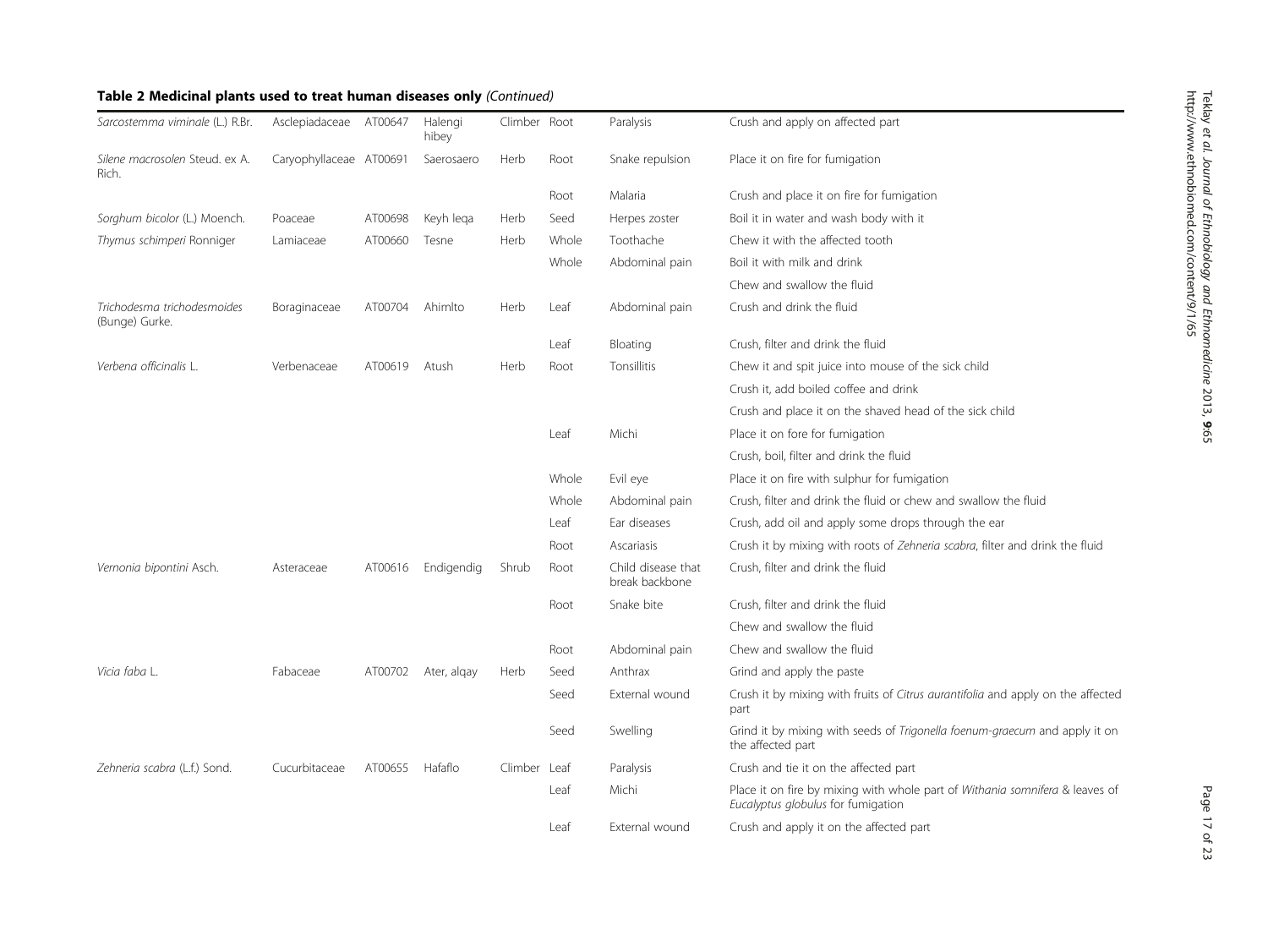| Sarcostemma viminale (L.) R.Br.               | Asclepiadaceae AT00647  |         | Halengi<br>hibey | Climber Root |       | Paralysis                            | Crush and apply on affected part                                                                                   |
|-----------------------------------------------|-------------------------|---------|------------------|--------------|-------|--------------------------------------|--------------------------------------------------------------------------------------------------------------------|
| Silene macrosolen Steud. ex A.<br>Rich.       | Caryophyllaceae AT00691 |         | Saerosaero       | Herb         | Root  | Snake repulsion                      | Place it on fire for fumigation                                                                                    |
|                                               |                         |         |                  |              | Root  | Malaria                              | Crush and place it on fire for fumigation                                                                          |
| Sorghum bicolor (L.) Moench.                  | Poaceae                 | AT00698 | Keyh lega        | Herb         | Seed  | Herpes zoster                        | Boil it in water and wash body with it                                                                             |
| Thymus schimperi Ronniger                     | Lamiaceae               | AT00660 | Tesne            | Herb         | Whole | Toothache                            | Chew it with the affected tooth                                                                                    |
|                                               |                         |         |                  |              | Whole | Abdominal pain                       | Boil it with milk and drink                                                                                        |
|                                               |                         |         |                  |              |       |                                      | Chew and swallow the fluid                                                                                         |
| Trichodesma trichodesmoides<br>(Bunge) Gurke. | Boraginaceae            | AT00704 | Ahimito          | Herb         | Leaf  | Abdominal pain                       | Crush and drink the fluid                                                                                          |
|                                               |                         |         |                  |              | Leaf  | Bloating                             | Crush, filter and drink the fluid                                                                                  |
| Verbena officinalis L.                        | Verbenaceae             | AT00619 | Atush            | Herb         | Root  | Tonsillitis                          | Chew it and spit juice into mouse of the sick child                                                                |
|                                               |                         |         |                  |              |       |                                      | Crush it, add boiled coffee and drink                                                                              |
|                                               |                         |         |                  |              |       |                                      | Crush and place it on the shaved head of the sick child                                                            |
|                                               |                         |         |                  |              | Leaf  | Michi                                | Place it on fore for fumigation                                                                                    |
|                                               |                         |         |                  |              |       |                                      | Crush, boil, filter and drink the fluid                                                                            |
|                                               |                         |         |                  |              | Whole | Evil eye                             | Place it on fire with sulphur for fumigation                                                                       |
|                                               |                         |         |                  |              | Whole | Abdominal pain                       | Crush, filter and drink the fluid or chew and swallow the fluid                                                    |
|                                               |                         |         |                  |              | Leaf  | Ear diseases                         | Crush, add oil and apply some drops through the ear                                                                |
|                                               |                         |         |                  |              | Root  | Ascariasis                           | Crush it by mixing with roots of Zehneria scabra, filter and drink the fluid                                       |
| Vernonia bipontini Asch.                      | Asteraceae              | AT00616 | Endigendig       | Shrub        | Root  | Child disease that<br>break backbone | Crush, filter and drink the fluid                                                                                  |
|                                               |                         |         |                  |              | Root  | Snake bite                           | Crush, filter and drink the fluid                                                                                  |
|                                               |                         |         |                  |              |       |                                      | Chew and swallow the fluid                                                                                         |
|                                               |                         |         |                  |              | Root  | Abdominal pain                       | Chew and swallow the fluid                                                                                         |
| Vicia faba L.                                 | Fabaceae                | AT00702 | Ater, algay      | Herb         | Seed  | Anthrax                              | Grind and apply the paste                                                                                          |
|                                               |                         |         |                  |              | Seed  | External wound                       | Crush it by mixing with fruits of Citrus aurantifolia and apply on the affected<br>part                            |
|                                               |                         |         |                  |              | Seed  | Swelling                             | Grind it by mixing with seeds of Trigonella foenum-graecum and apply it on<br>the affected part                    |
| Zehneria scabra (L.f.) Sond.                  | Cucurbitaceae           | AT00655 | Hafaflo          | Climber      | Leaf  | Paralysis                            | Crush and tie it on the affected part                                                                              |
|                                               |                         |         |                  |              | Leaf  | Michi                                | Place it on fire by mixing with whole part of Withania somnifera & leaves of<br>Eucalyptus globulus for fumigation |
|                                               |                         |         |                  |              | Leaf  | External wound                       | Crush and apply it on the affected part                                                                            |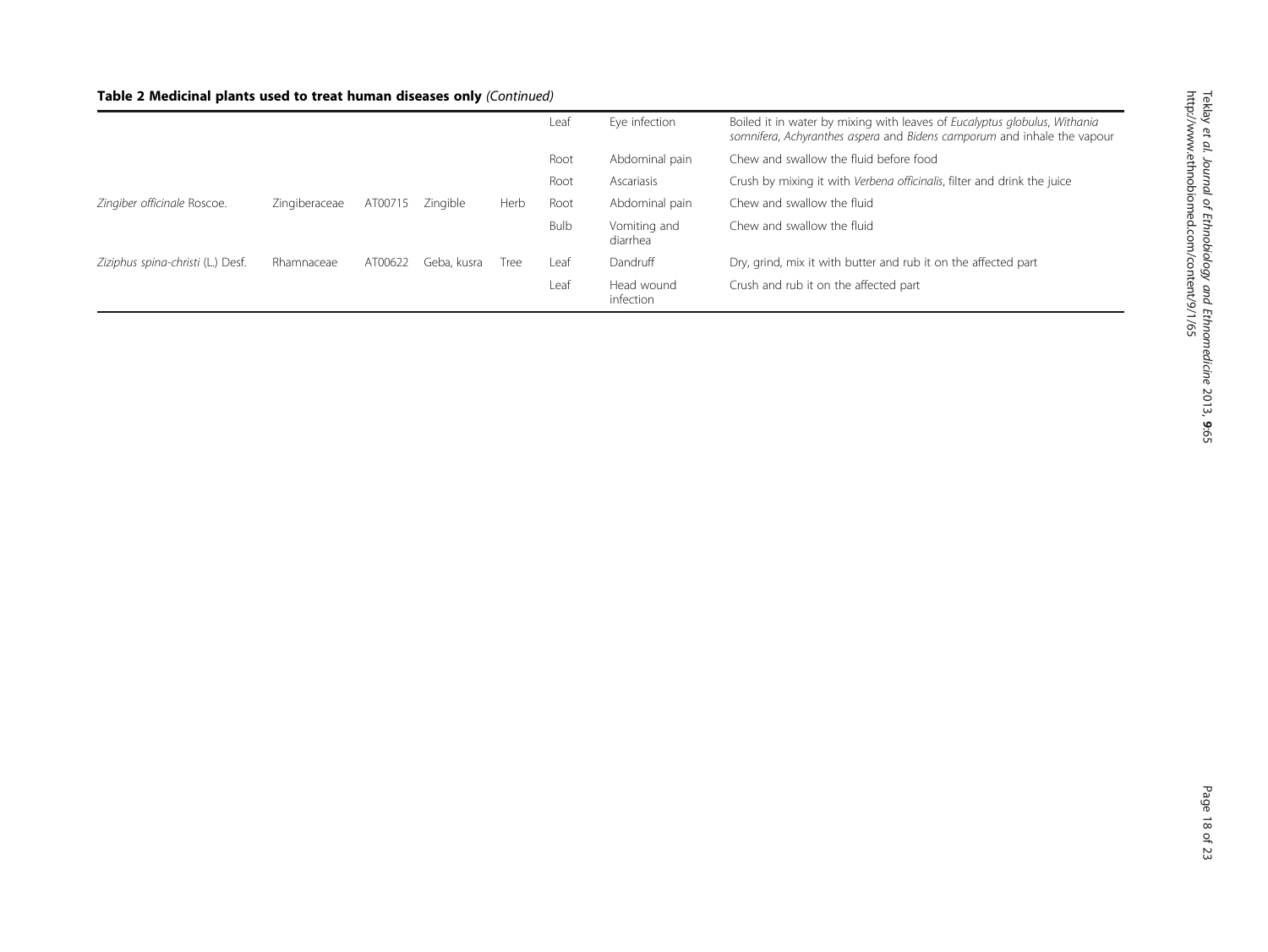|                                   |               |         |             |      | Leaf        | Eye infection            | Boiled it in water by mixing with leaves of Eucalyptus globulus, Withania<br>somnifera, Achyranthes aspera and Bidens camporum and inhale the vapour |
|-----------------------------------|---------------|---------|-------------|------|-------------|--------------------------|------------------------------------------------------------------------------------------------------------------------------------------------------|
|                                   |               |         |             |      | Root        | Abdominal pain           | Chew and swallow the fluid before food                                                                                                               |
|                                   |               |         |             |      | Root        | Ascariasis               | Crush by mixing it with Verbena officinalis, filter and drink the juice                                                                              |
| Zingiber officinale Roscoe.       | Zingiberaceae | AT00715 | Zinaible    | Herb | Root        | Abdominal pain           | Chew and swallow the fluid                                                                                                                           |
|                                   |               |         |             |      | <b>Bulb</b> | Vomiting and<br>diarrhea | Chew and swallow the fluid                                                                                                                           |
| Ziziphus spina-christi (L.) Desf. | Rhamnaceae    | AT00622 | Geba, kusra | Tree | Leaf        | Dandruff                 | Dry, grind, mix it with butter and rub it on the affected part                                                                                       |
|                                   |               |         |             |      | Leaf        | Head wound<br>infection  | Crush and rub it on the affected part                                                                                                                |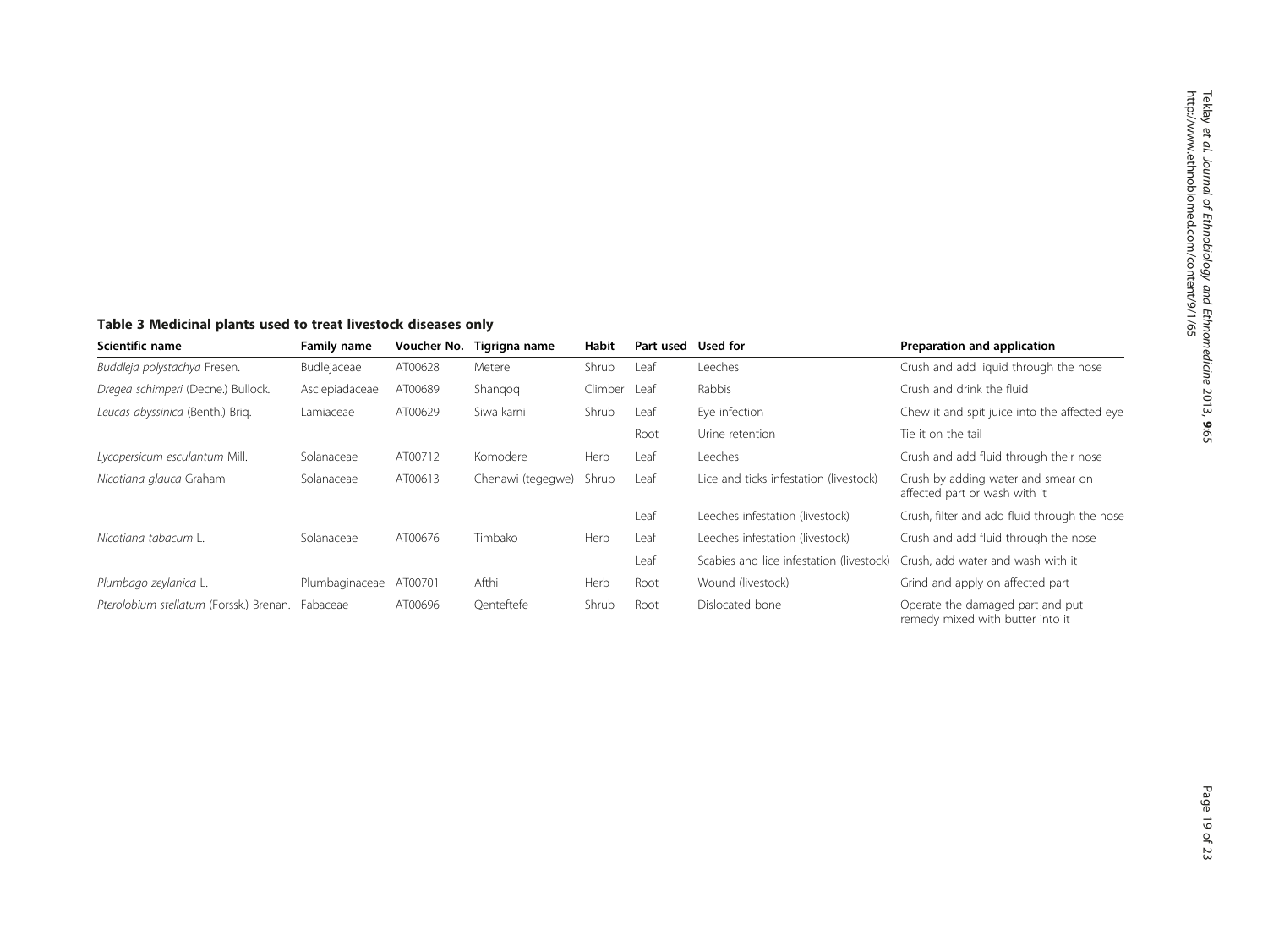# <span id="page-18-0"></span>Table 3 Medicinal plants used to treat livestock diseases only

| Scientific name                         | Family name    | Voucher No. | Tigrigna name     | Habit   | Part used | Used for                                 | Preparation and application                                          |
|-----------------------------------------|----------------|-------------|-------------------|---------|-----------|------------------------------------------|----------------------------------------------------------------------|
| Buddleja polystachya Fresen.            | Budlejaceae    | AT00628     | Metere            | Shrub   | Leaf      | <b>Leeches</b>                           | Crush and add liquid through the nose                                |
| Dregea schimperi (Decne.) Bullock.      | Asclepiadaceae | AT00689     | Shangog           | Climber | Leaf      | Rabbis                                   | Crush and drink the fluid                                            |
| Leucas abyssinica (Benth.) Brig.        | Lamiaceae      | AT00629     | Siwa karni        | Shrub   | Leaf      | Eye infection                            | Chew it and spit juice into the affected eye                         |
|                                         |                |             |                   |         | Root      | Urine retention                          | Tie it on the tail                                                   |
| Lycopersicum esculantum Mill.           | Solanaceae     | AT00712     | Komodere          | Herb    | Leaf      | <b>Leeches</b>                           | Crush and add fluid through their nose                               |
| Nicotiana glauca Graham                 | Solanaceae     | AT00613     | Chenawi (tegegwe) | Shrub   | Leaf      | Lice and ticks infestation (livestock)   | Crush by adding water and smear on<br>affected part or wash with it  |
|                                         |                |             |                   |         | Leaf      | Leeches infestation (livestock)          | Crush, filter and add fluid through the nose                         |
| Nicotiana tabacum L.                    | Solanaceae     | AT00676     | Timbako           | Herb    | Leaf      | Leeches infestation (livestock)          | Crush and add fluid through the nose                                 |
|                                         |                |             |                   |         | Leaf      | Scabies and lice infestation (livestock) | Crush, add water and wash with it                                    |
| Plumbago zeylanica L.                   | Plumbaginaceae | AT00701     | Afthi             | Herb    | Root      | Wound (livestock)                        | Grind and apply on affected part                                     |
| Pterolobium stellatum (Forssk.) Brenan. | Fabaceae       | AT00696     | Qenteftefe        | Shrub   | Root      | Dislocated bone                          | Operate the damaged part and put<br>remedy mixed with butter into it |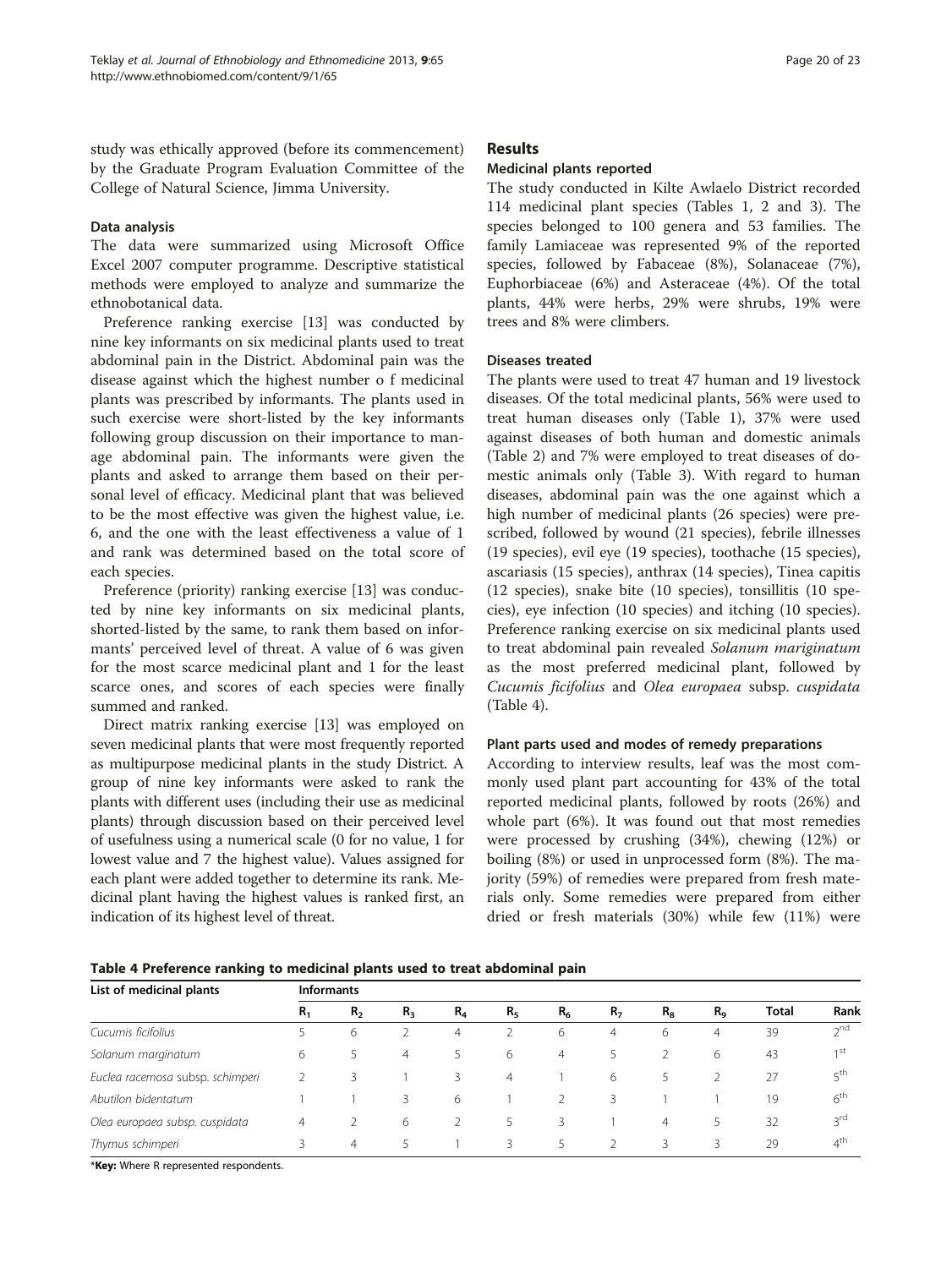study was ethically approved (before its commencement) by the Graduate Program Evaluation Committee of the College of Natural Science, Jimma University.

#### Data analysis

The data were summarized using Microsoft Office Excel 2007 computer programme. Descriptive statistical methods were employed to analyze and summarize the ethnobotanical data.

Preference ranking exercise [\[13](#page-22-0)] was conducted by nine key informants on six medicinal plants used to treat abdominal pain in the District. Abdominal pain was the disease against which the highest number o f medicinal plants was prescribed by informants. The plants used in such exercise were short-listed by the key informants following group discussion on their importance to manage abdominal pain. The informants were given the plants and asked to arrange them based on their personal level of efficacy. Medicinal plant that was believed to be the most effective was given the highest value, i.e. 6, and the one with the least effectiveness a value of 1 and rank was determined based on the total score of each species.

Preference (priority) ranking exercise [\[13\]](#page-22-0) was conducted by nine key informants on six medicinal plants, shorted-listed by the same, to rank them based on informants' perceived level of threat. A value of 6 was given for the most scarce medicinal plant and 1 for the least scarce ones, and scores of each species were finally summed and ranked.

Direct matrix ranking exercise [[13](#page-22-0)] was employed on seven medicinal plants that were most frequently reported as multipurpose medicinal plants in the study District. A group of nine key informants were asked to rank the plants with different uses (including their use as medicinal plants) through discussion based on their perceived level of usefulness using a numerical scale (0 for no value, 1 for lowest value and 7 the highest value). Values assigned for each plant were added together to determine its rank. Medicinal plant having the highest values is ranked first, an indication of its highest level of threat.

#### Results

#### Medicinal plants reported

The study conducted in Kilte Awlaelo District recorded 114 medicinal plant species (Tables [1](#page-3-0), [2](#page-11-0) and [3\)](#page-18-0). The species belonged to 100 genera and 53 families. The family Lamiaceae was represented 9% of the reported species, followed by Fabaceae (8%), Solanaceae (7%), Euphorbiaceae (6%) and Asteraceae (4%). Of the total plants, 44% were herbs, 29% were shrubs, 19% were trees and 8% were climbers.

#### Diseases treated

The plants were used to treat 47 human and 19 livestock diseases. Of the total medicinal plants, 56% were used to treat human diseases only (Table [1](#page-3-0)), 37% were used against diseases of both human and domestic animals (Table [2](#page-11-0)) and 7% were employed to treat diseases of domestic animals only (Table [3\)](#page-18-0). With regard to human diseases, abdominal pain was the one against which a high number of medicinal plants (26 species) were prescribed, followed by wound (21 species), febrile illnesses (19 species), evil eye (19 species), toothache (15 species), ascariasis (15 species), anthrax (14 species), Tinea capitis (12 species), snake bite (10 species), tonsillitis (10 species), eye infection (10 species) and itching (10 species). Preference ranking exercise on six medicinal plants used to treat abdominal pain revealed Solanum mariginatum as the most preferred medicinal plant, followed by Cucumis ficifolius and Olea europaea subsp. cuspidata (Table 4).

#### Plant parts used and modes of remedy preparations

According to interview results, leaf was the most commonly used plant part accounting for 43% of the total reported medicinal plants, followed by roots (26%) and whole part (6%). It was found out that most remedies were processed by crushing (34%), chewing (12%) or boiling (8%) or used in unprocessed form (8%). The majority (59%) of remedies were prepared from fresh materials only. Some remedies were prepared from either dried or fresh materials (30%) while few (11%) were

Table 4 Preference ranking to medicinal plants used to treat abdominal pain

| List of medicinal plants         | <b>Informants</b> |                |                |       |                |                |                |                |         |              |                 |  |
|----------------------------------|-------------------|----------------|----------------|-------|----------------|----------------|----------------|----------------|---------|--------------|-----------------|--|
|                                  | $R_1$             | R <sub>2</sub> | $R_3$          | $R_4$ | R <sub>5</sub> | R <sub>6</sub> | R <sub>7</sub> | $R_8$          | $R_{9}$ | <b>Total</b> | Rank            |  |
| Cucumis ficifolius               |                   | 6              |                | 4     |                | 6              | 4              | 6              | 4       | 39           | $2^{nd}$        |  |
| Solanum marginatum               | 6                 | 5              | $\overline{4}$ | 5     | 6              | 4              |                |                | 6       | 43           | 1 <sup>st</sup> |  |
| Euclea racemosa subsp. schimperi |                   | 3              |                | 3     | $\overline{4}$ |                | 6              |                |         | 27           | 5 <sup>th</sup> |  |
| Abutilon bidentatum              |                   |                | 3              | 6     |                |                | 3              |                |         | 19           | $6^{\text{th}}$ |  |
| Olea europaea subsp. cuspidata   | 4                 |                | 6              |       |                | 3              |                | $\overline{4}$ |         | 32           | 3 <sup>rd</sup> |  |
| Thymus schimperi                 |                   | 4              | 5              |       | 3              | 5              |                | 3              | 3       | 29           | $4^{\text{th}}$ |  |

\*Key: Where R represented respondents.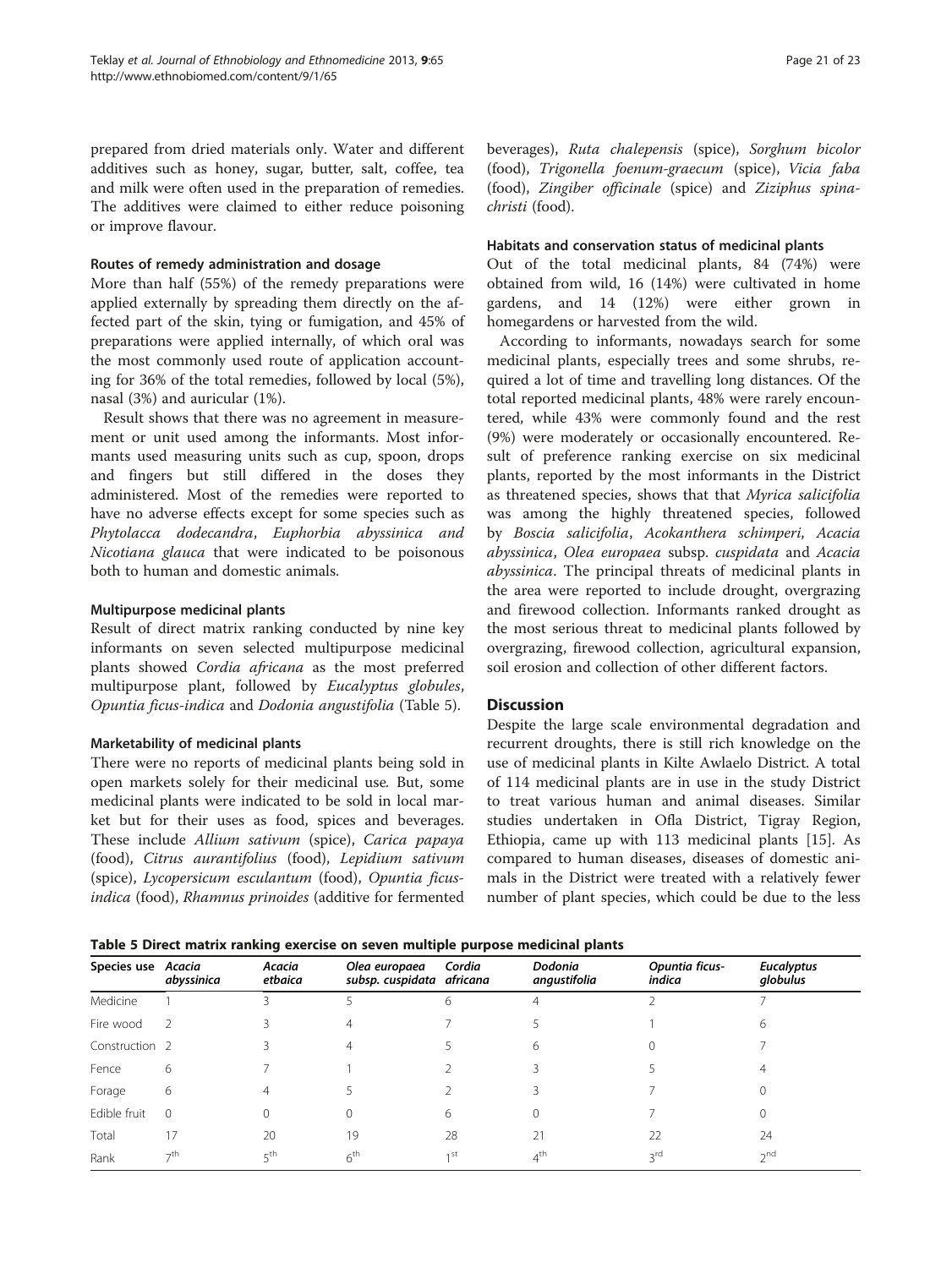prepared from dried materials only. Water and different additives such as honey, sugar, butter, salt, coffee, tea and milk were often used in the preparation of remedies. The additives were claimed to either reduce poisoning or improve flavour.

#### Routes of remedy administration and dosage

More than half (55%) of the remedy preparations were applied externally by spreading them directly on the affected part of the skin, tying or fumigation, and 45% of preparations were applied internally, of which oral was the most commonly used route of application accounting for 36% of the total remedies, followed by local (5%), nasal (3%) and auricular (1%).

Result shows that there was no agreement in measurement or unit used among the informants. Most informants used measuring units such as cup, spoon, drops and fingers but still differed in the doses they administered. Most of the remedies were reported to have no adverse effects except for some species such as Phytolacca dodecandra, Euphorbia abyssinica and Nicotiana glauca that were indicated to be poisonous both to human and domestic animals.

#### Multipurpose medicinal plants

Result of direct matrix ranking conducted by nine key informants on seven selected multipurpose medicinal plants showed Cordia africana as the most preferred multipurpose plant, followed by Eucalyptus globules, Opuntia ficus-indica and Dodonia angustifolia (Table 5).

#### Marketability of medicinal plants

There were no reports of medicinal plants being sold in open markets solely for their medicinal use. But, some medicinal plants were indicated to be sold in local market but for their uses as food, spices and beverages. These include Allium sativum (spice), Carica papaya (food), Citrus aurantifolius (food), Lepidium sativum (spice), Lycopersicum esculantum (food), Opuntia ficusindica (food), Rhamnus prinoides (additive for fermented beverages), Ruta chalepensis (spice), Sorghum bicolor (food), Trigonella foenum-graecum (spice), Vicia faba (food), Zingiber officinale (spice) and Ziziphus spinachristi (food).

#### Habitats and conservation status of medicinal plants

Out of the total medicinal plants, 84 (74%) were obtained from wild, 16 (14%) were cultivated in home gardens, and 14 (12%) were either grown in homegardens or harvested from the wild.

According to informants, nowadays search for some medicinal plants, especially trees and some shrubs, required a lot of time and travelling long distances. Of the total reported medicinal plants, 48% were rarely encountered, while 43% were commonly found and the rest (9%) were moderately or occasionally encountered. Result of preference ranking exercise on six medicinal plants, reported by the most informants in the District as threatened species, shows that that Myrica salicifolia was among the highly threatened species, followed by Boscia salicifolia, Acokanthera schimperi, Acacia abyssinica, Olea europaea subsp. cuspidata and Acacia abyssinica. The principal threats of medicinal plants in the area were reported to include drought, overgrazing and firewood collection. Informants ranked drought as the most serious threat to medicinal plants followed by overgrazing, firewood collection, agricultural expansion, soil erosion and collection of other different factors.

#### **Discussion**

Despite the large scale environmental degradation and recurrent droughts, there is still rich knowledge on the use of medicinal plants in Kilte Awlaelo District. A total of 114 medicinal plants are in use in the study District to treat various human and animal diseases. Similar studies undertaken in Ofla District, Tigray Region, Ethiopia, came up with 113 medicinal plants [[15](#page-22-0)]. As compared to human diseases, diseases of domestic animals in the District were treated with a relatively fewer number of plant species, which could be due to the less

Table 5 Direct matrix ranking exercise on seven multiple purpose medicinal plants

|                           |                | $-$               |                                            |                 |                         |                          |                               |
|---------------------------|----------------|-------------------|--------------------------------------------|-----------------|-------------------------|--------------------------|-------------------------------|
| Species use Acacia        | abyssinica     | Acacia<br>etbaica | Olea europaea<br>subsp. cuspidata africana | Cordia          | Dodonia<br>angustifolia | Opuntia ficus-<br>indica | <b>Eucalyptus</b><br>globulus |
| Medicine                  |                |                   |                                            | 6               | 4                       |                          |                               |
| Fire wood                 | $\overline{z}$ |                   |                                            |                 |                         |                          | 6                             |
| Construction <sub>2</sub> |                |                   | 4                                          |                 | 6                       |                          |                               |
| Fence                     | 6              |                   |                                            |                 |                         |                          |                               |
| Forage                    | 6              | 4                 |                                            |                 |                         |                          |                               |
| Edible fruit              | $\Omega$       |                   |                                            | 6               | $\Omega$                |                          | $^{()}$                       |
| Total                     | 17             | 20                | 19                                         | 28              | 21                      | 22                       | 24                            |
| Rank                      | $\neg$ th      | 5 <sup>th</sup>   | 6 <sup>th</sup>                            | 1 <sub>st</sub> | 4 <sup>th</sup>         | 3rd                      | 2 <sub>nd</sub>               |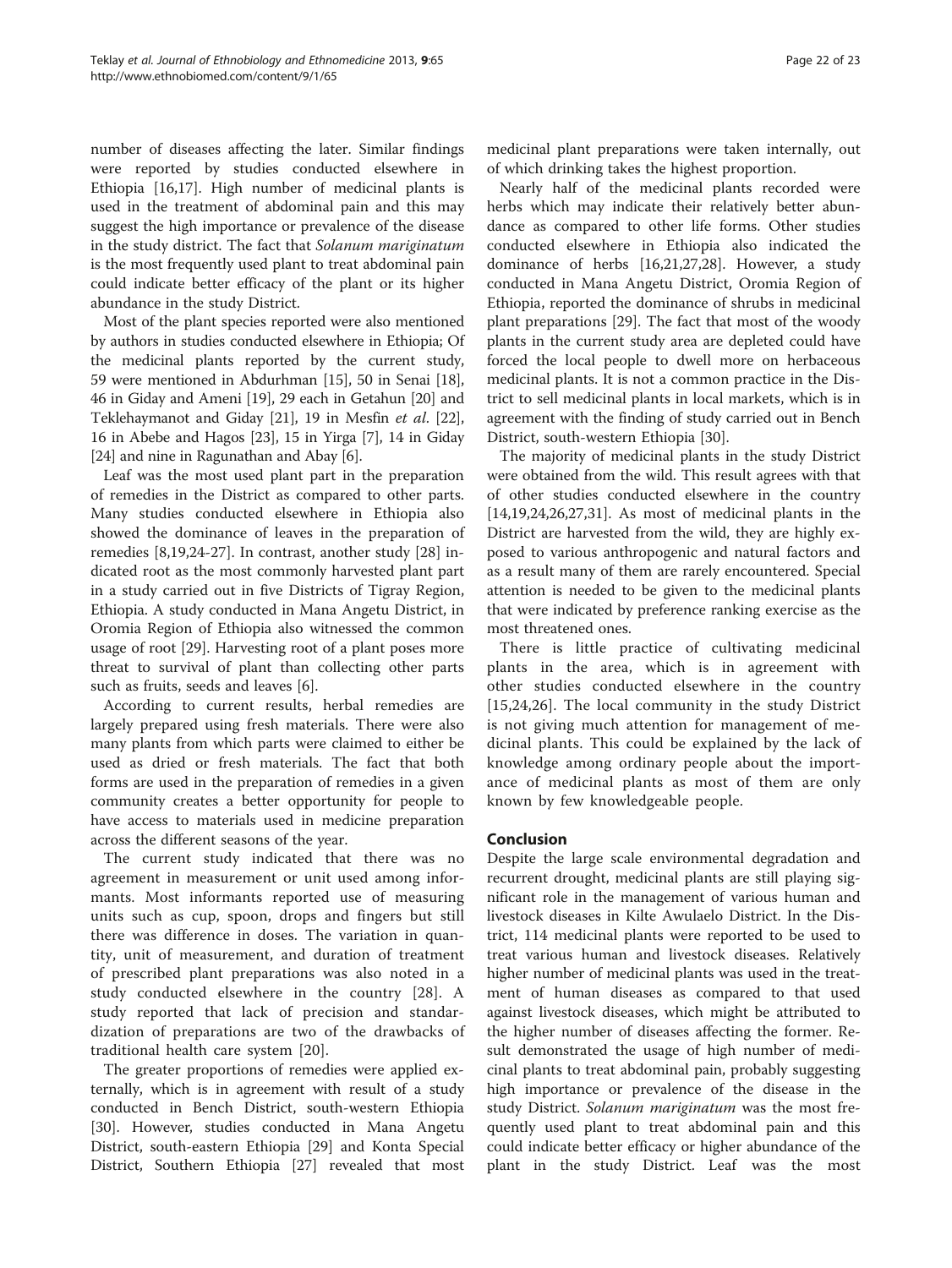number of diseases affecting the later. Similar findings were reported by studies conducted elsewhere in Ethiopia [\[16,17\]](#page-22-0). High number of medicinal plants is used in the treatment of abdominal pain and this may suggest the high importance or prevalence of the disease in the study district. The fact that Solanum mariginatum is the most frequently used plant to treat abdominal pain could indicate better efficacy of the plant or its higher abundance in the study District.

Most of the plant species reported were also mentioned by authors in studies conducted elsewhere in Ethiopia; Of the medicinal plants reported by the current study, 59 were mentioned in Abdurhman [\[15\]](#page-22-0), 50 in Senai [[18](#page-22-0)], 46 in Giday and Ameni [\[19\]](#page-22-0), 29 each in Getahun [\[20\]](#page-22-0) and Teklehaymanot and Giday [[21](#page-22-0)], 19 in Mesfin et al. [[22](#page-22-0)], 16 in Abebe and Hagos [[23](#page-22-0)], 15 in Yirga [\[7](#page-22-0)], 14 in Giday [[24](#page-22-0)] and nine in Ragunathan and Abay [[6\]](#page-22-0).

Leaf was the most used plant part in the preparation of remedies in the District as compared to other parts. Many studies conducted elsewhere in Ethiopia also showed the dominance of leaves in the preparation of remedies [\[8](#page-22-0),[19](#page-22-0),[24](#page-22-0)-[27\]](#page-22-0). In contrast, another study [[28\]](#page-22-0) indicated root as the most commonly harvested plant part in a study carried out in five Districts of Tigray Region, Ethiopia. A study conducted in Mana Angetu District, in Oromia Region of Ethiopia also witnessed the common usage of root [\[29](#page-22-0)]. Harvesting root of a plant poses more threat to survival of plant than collecting other parts such as fruits, seeds and leaves [[6\]](#page-22-0).

According to current results, herbal remedies are largely prepared using fresh materials. There were also many plants from which parts were claimed to either be used as dried or fresh materials. The fact that both forms are used in the preparation of remedies in a given community creates a better opportunity for people to have access to materials used in medicine preparation across the different seasons of the year.

The current study indicated that there was no agreement in measurement or unit used among informants. Most informants reported use of measuring units such as cup, spoon, drops and fingers but still there was difference in doses. The variation in quantity, unit of measurement, and duration of treatment of prescribed plant preparations was also noted in a study conducted elsewhere in the country [\[28](#page-22-0)]. A study reported that lack of precision and standardization of preparations are two of the drawbacks of traditional health care system [\[20](#page-22-0)].

The greater proportions of remedies were applied externally, which is in agreement with result of a study conducted in Bench District, south-western Ethiopia [[30\]](#page-22-0). However, studies conducted in Mana Angetu District, south-eastern Ethiopia [[29](#page-22-0)] and Konta Special District, Southern Ethiopia [[27\]](#page-22-0) revealed that most

Nearly half of the medicinal plants recorded were herbs which may indicate their relatively better abundance as compared to other life forms. Other studies conducted elsewhere in Ethiopia also indicated the dominance of herbs [\[16,21,27,28\]](#page-22-0). However, a study conducted in Mana Angetu District, Oromia Region of Ethiopia, reported the dominance of shrubs in medicinal plant preparations [\[29\]](#page-22-0). The fact that most of the woody plants in the current study area are depleted could have forced the local people to dwell more on herbaceous medicinal plants. It is not a common practice in the District to sell medicinal plants in local markets, which is in agreement with the finding of study carried out in Bench District, south-western Ethiopia [\[30](#page-22-0)].

The majority of medicinal plants in the study District were obtained from the wild. This result agrees with that of other studies conducted elsewhere in the country [[14,19,24,26,27,31\]](#page-22-0). As most of medicinal plants in the District are harvested from the wild, they are highly exposed to various anthropogenic and natural factors and as a result many of them are rarely encountered. Special attention is needed to be given to the medicinal plants that were indicated by preference ranking exercise as the most threatened ones.

There is little practice of cultivating medicinal plants in the area, which is in agreement with other studies conducted elsewhere in the country [[15,24,26\]](#page-22-0). The local community in the study District is not giving much attention for management of medicinal plants. This could be explained by the lack of knowledge among ordinary people about the importance of medicinal plants as most of them are only known by few knowledgeable people.

#### Conclusion

Despite the large scale environmental degradation and recurrent drought, medicinal plants are still playing significant role in the management of various human and livestock diseases in Kilte Awulaelo District. In the District, 114 medicinal plants were reported to be used to treat various human and livestock diseases. Relatively higher number of medicinal plants was used in the treatment of human diseases as compared to that used against livestock diseases, which might be attributed to the higher number of diseases affecting the former. Result demonstrated the usage of high number of medicinal plants to treat abdominal pain, probably suggesting high importance or prevalence of the disease in the study District. Solanum mariginatum was the most frequently used plant to treat abdominal pain and this could indicate better efficacy or higher abundance of the plant in the study District. Leaf was the most